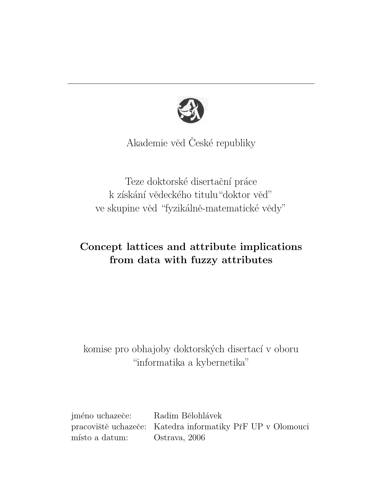

Akademie věd České republiky

Teze doktorské disertační práce k získání vědeckého titulu "doktor věď" ve skupine věd "fyzikálně-matematické vědy"

# Concept lattices and attribute implications from data with fuzzy attributes

# komise pro obhajoby doktorských disertací v oboru "informatika a kybernetika"

jméno uchazeče: Radim Bělohlávek pracoviště uchazeče: Katedra informatiky PřF UP v Olomouci místo a datum: Ostrava, 2006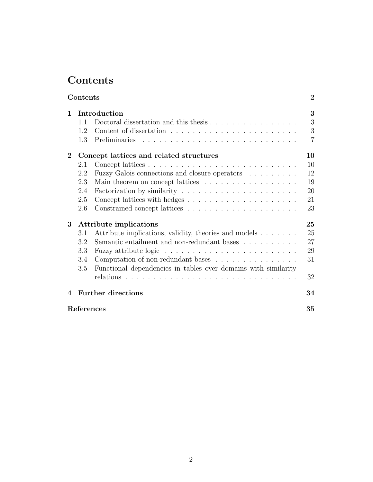# Contents

| $\mathbf{1}$     | Introduction                                                   |  |  |  |  |  |  |
|------------------|----------------------------------------------------------------|--|--|--|--|--|--|
| 1.1              |                                                                |  |  |  |  |  |  |
| 1.2              |                                                                |  |  |  |  |  |  |
| 1.3              |                                                                |  |  |  |  |  |  |
| $\bf{2}$         | Concept lattices and related structures                        |  |  |  |  |  |  |
| 2.1              |                                                                |  |  |  |  |  |  |
| 2.2              | Fuzzy Galois connections and closure operators                 |  |  |  |  |  |  |
| 2.3              | Main theorem on concept lattices                               |  |  |  |  |  |  |
| 2.4              |                                                                |  |  |  |  |  |  |
| 2.5              |                                                                |  |  |  |  |  |  |
| 2.6              |                                                                |  |  |  |  |  |  |
| 3                | Attribute implications                                         |  |  |  |  |  |  |
| 3.1              | Attribute implications, validity, theories and models          |  |  |  |  |  |  |
| 3.2              | Semantic entailment and non-redundant bases                    |  |  |  |  |  |  |
| 3.3              |                                                                |  |  |  |  |  |  |
| 3.4              | Computation of non-redundant bases                             |  |  |  |  |  |  |
| 3.5              | Functional dependencies in tables over domains with similarity |  |  |  |  |  |  |
|                  | relations                                                      |  |  |  |  |  |  |
| $\boldsymbol{4}$ | <b>Further directions</b>                                      |  |  |  |  |  |  |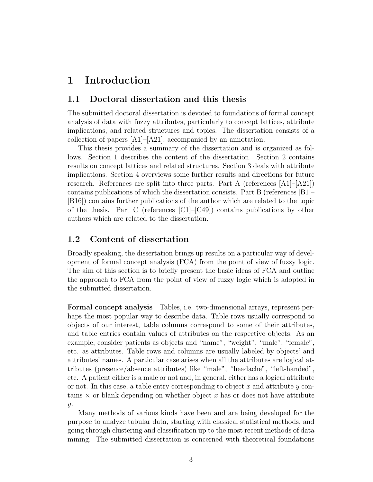## 1 Introduction

### 1.1 Doctoral dissertation and this thesis

The submitted doctoral dissertation is devoted to foundations of formal concept analysis of data with fuzzy attributes, particularly to concept lattices, attribute implications, and related structures and topics. The dissertation consists of a collection of papers [A1]–[A21], accompanied by an annotation.

This thesis provides a summary of the dissertation and is organized as follows. Section 1 describes the content of the dissertation. Section 2 contains results on concept lattices and related structures. Section 3 deals with attribute implications. Section 4 overviews some further results and directions for future research. References are split into three parts. Part A (references [A1]–[A21]) contains publications of which the dissertation consists. Part B (references [B1]– [B16]) contains further publications of the author which are related to the topic of the thesis. Part C (references  $\lbrack C1\rbrack$ – $\lbrack C49\rbrack$ ) contains publications by other authors which are related to the dissertation.

### 1.2 Content of dissertation

Broadly speaking, the dissertation brings up results on a particular way of development of formal concept analysis (FCA) from the point of view of fuzzy logic. The aim of this section is to briefly present the basic ideas of FCA and outline the approach to FCA from the point of view of fuzzy logic which is adopted in the submitted dissertation.

Formal concept analysis Tables, i.e. two-dimensional arrays, represent perhaps the most popular way to describe data. Table rows usually correspond to objects of our interest, table columns correspond to some of their attributes, and table entries contain values of attributes on the respective objects. As an example, consider patients as objects and "name", "weight", "male", "female", etc. as attributes. Table rows and columns are usually labeled by objects' and attributes' names. A particular case arises when all the attributes are logical attributes (presence/absence attributes) like "male", "headache", "left-handed", etc. A patient either is a male or not and, in general, either has a logical attribute or not. In this case, a table entry corresponding to object x and attribute  $\eta$  contains  $\times$  or blank depending on whether object x has or does not have attribute  $\overline{y}$ .

Many methods of various kinds have been and are being developed for the purpose to analyze tabular data, starting with classical statistical methods, and going through clustering and classification up to the most recent methods of data mining. The submitted dissertation is concerned with theoretical foundations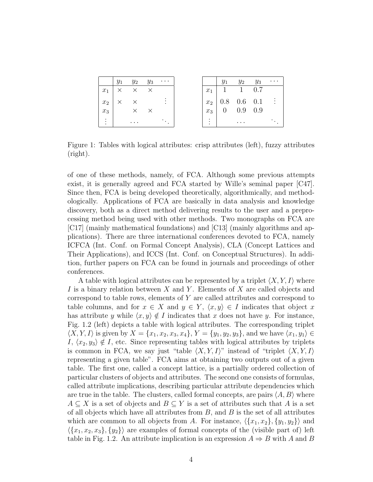|       | $y_1$ $y_2$ $y_3$          | $\cdots$ |
|-------|----------------------------|----------|
| $x_1$ | $\times$ $\times$ $\times$ |          |
| $x_2$ | $\times$ $\times$          |          |
| $x_3$ | $\times$ $\times$          |          |
| ٠     | $\cdots$                   |          |

Figure 1: Tables with logical attributes: crisp attributes (left), fuzzy attributes (right).

of one of these methods, namely, of FCA. Although some previous attempts exist, it is generally agreed and FCA started by Wille's seminal paper [C47]. Since then, FCA is being developed theoretically, algorithmically, and methodologically. Applications of FCA are basically in data analysis and knowledge discovery, both as a direct method delivering results to the user and a preprocessing method being used with other methods. Two monographs on FCA are [C17] (mainly mathematical foundations) and [C13] (mainly algorithms and applications). There are three international conferences devoted to FCA, namely ICFCA (Int. Conf. on Formal Concept Analysis), CLA (Concept Lattices and Their Applications), and ICCS (Int. Conf. on Conceptual Structures). In addition, further papers on FCA can be found in journals and proceedings of other conferences.

A table with logical attributes can be represented by a triplet  $\langle X, Y, I \rangle$  where I is a binary relation between X and Y. Elements of X are called objects and correspond to table rows, elements of Y are called attributes and correspond to table columns, and for  $x \in X$  and  $y \in Y$ ,  $\langle x, y \rangle \in I$  indicates that object x has attribute y while  $\langle x, y \rangle \notin I$  indicates that x does not have y. For instance, Fig. 1.2 (left) depicts a table with logical attributes. The corresponding triplet  $\langle X, Y, I \rangle$  is given by  $X = \{x_1, x_2, x_3, x_4\}, Y = \{y_1, y_2, y_3\}$ , and we have  $\langle x_1, y_1 \rangle \in$ I,  $\langle x_2, y_3 \rangle \notin I$ , etc. Since representing tables with logical attributes by triplets is common in FCA, we say just "table  $\langle X, Y, I \rangle$ " instead of "triplet  $\langle X, Y, I \rangle$ " representing a given table". FCA aims at obtaining two outputs out of a given table. The first one, called a concept lattice, is a partially ordered collection of particular clusters of objects and attributes. The second one consists of formulas, called attribute implications, describing particular attribute dependencies which are true in the table. The clusters, called formal concepts, are pairs  $\langle A, B \rangle$  where  $A \subseteq X$  is a set of objects and  $B \subseteq Y$  is a set of attributes such that A is a set of all objects which have all attributes from  $B$ , and  $B$  is the set of all attributes which are common to all objects from A. For instance,  $\langle \{x_1, x_2\}, \{y_1, y_2\} \rangle$  and  $\langle \{x_1, x_2, x_3\}, \{y_2\} \rangle$  are examples of formal concepts of the (visible part of) left table in Fig. 1.2. An attribute implication is an expression  $A \Rightarrow B$  with A and B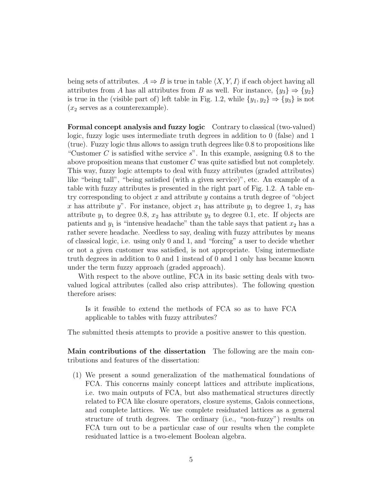being sets of attributes.  $A \Rightarrow B$  is true in table  $\langle X, Y, I \rangle$  if each object having all attributes from A has all attributes from B as well. For instance,  $\{y_3\} \Rightarrow \{y_2\}$ is true in the (visible part of) left table in Fig. 1.2, while  $\{y_1, y_2\} \Rightarrow \{y_3\}$  is not  $(x_2$  serves as a counterexample).

Formal concept analysis and fuzzy logic Contrary to classical (two-valued) logic, fuzzy logic uses intermediate truth degrees in addition to 0 (false) and 1 (true). Fuzzy logic thus allows to assign truth degrees like 0.8 to propositions like "Customer C is satisfied withe service  $s$ ". In this example, assigning 0.8 to the above proposition means that customer  $C$  was quite satisfied but not completely. This way, fuzzy logic attempts to deal with fuzzy attributes (graded attributes) like "being tall", "being satisfied (with a given service)", etc. An example of a table with fuzzy attributes is presented in the right part of Fig. 1.2. A table entry corresponding to object  $x$  and attribute  $y$  contains a truth degree of "object" x has attribute y". For instance, object  $x_1$  has attribute  $y_1$  to degree 1,  $x_2$  has attribute  $y_1$  to degree 0.8,  $x_2$  has attribute  $y_3$  to degree 0.1, etc. If objects are patients and  $y_1$  is "intensive headache" than the table says that patient  $x_2$  has a rather severe headache. Needless to say, dealing with fuzzy attributes by means of classical logic, i.e. using only 0 and 1, and "forcing" a user to decide whether or not a given customer was satisfied, is not appropriate. Using intermediate truth degrees in addition to 0 and 1 instead of 0 and 1 only has became known under the term fuzzy approach (graded approach).

With respect to the above outline, FCA in its basic setting deals with twovalued logical attributes (called also crisp attributes). The following question therefore arises:

Is it feasible to extend the methods of FCA so as to have FCA applicable to tables with fuzzy attributes?

The submitted thesis attempts to provide a positive answer to this question.

Main contributions of the dissertation The following are the main contributions and features of the dissertation:

(1) We present a sound generalization of the mathematical foundations of FCA. This concerns mainly concept lattices and attribute implications, i.e. two main outputs of FCA, but also mathematical structures directly related to FCA like closure operators, closure systems, Galois connections, and complete lattices. We use complete residuated lattices as a general structure of truth degrees. The ordinary (i.e., "non-fuzzy") results on FCA turn out to be a particular case of our results when the complete residuated lattice is a two-element Boolean algebra.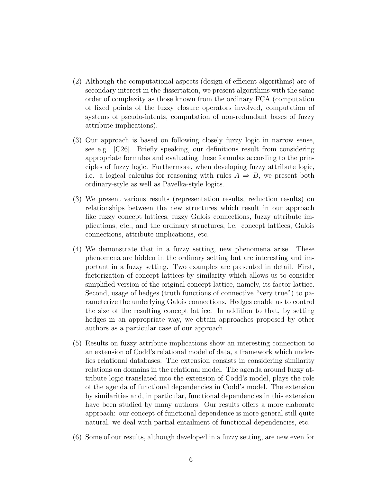- (2) Although the computational aspects (design of efficient algorithms) are of secondary interest in the dissertation, we present algorithms with the same order of complexity as those known from the ordinary FCA (computation of fixed points of the fuzzy closure operators involved, computation of systems of pseudo-intents, computation of non-redundant bases of fuzzy attribute implications).
- (3) Our approach is based on following closely fuzzy logic in narrow sense, see e.g. [C26]. Briefly speaking, our definitions result from considering appropriate formulas and evaluating these formulas according to the principles of fuzzy logic. Furthermore, when developing fuzzy attribute logic, i.e. a logical calculus for reasoning with rules  $A \Rightarrow B$ , we present both ordinary-style as well as Pavelka-style logics.
- (3) We present various results (representation results, reduction results) on relationships between the new structures which result in our approach like fuzzy concept lattices, fuzzy Galois connections, fuzzy attribute implications, etc., and the ordinary structures, i.e. concept lattices, Galois connections, attribute implications, etc.
- (4) We demonstrate that in a fuzzy setting, new phenomena arise. These phenomena are hidden in the ordinary setting but are interesting and important in a fuzzy setting. Two examples are presented in detail. First, factorization of concept lattices by similarity which allows us to consider simplified version of the original concept lattice, namely, its factor lattice. Second, usage of hedges (truth functions of connective "very true") to parameterize the underlying Galois connections. Hedges enable us to control the size of the resulting concept lattice. In addition to that, by setting hedges in an appropriate way, we obtain approaches proposed by other authors as a particular case of our approach.
- (5) Results on fuzzy attribute implications show an interesting connection to an extension of Codd's relational model of data, a framework which underlies relational databases. The extension consists in considering similarity relations on domains in the relational model. The agenda around fuzzy attribute logic translated into the extension of Codd's model, plays the role of the agenda of functional dependencies in Codd's model. The extension by similarities and, in particular, functional dependencies in this extension have been studied by many authors. Our results offers a more elaborate approach: our concept of functional dependence is more general still quite natural, we deal with partial entailment of functional dependencies, etc.
- (6) Some of our results, although developed in a fuzzy setting, are new even for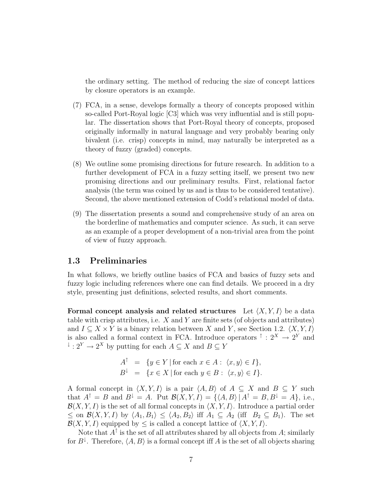the ordinary setting. The method of reducing the size of concept lattices by closure operators is an example.

- (7) FCA, in a sense, develops formally a theory of concepts proposed within so-called Port-Royal logic [C3] which was very influential and is still popular. The dissertation shows that Port-Royal theory of concepts, proposed originally informally in natural language and very probably bearing only bivalent (i.e. crisp) concepts in mind, may naturally be interpreted as a theory of fuzzy (graded) concepts.
- (8) We outline some promising directions for future research. In addition to a further development of FCA in a fuzzy setting itself, we present two new promising directions and our preliminary results. First, relational factor analysis (the term was coined by us and is thus to be considered tentative). Second, the above mentioned extension of Codd's relational model of data.
- (9) The dissertation presents a sound and comprehensive study of an area on the borderline of mathematics and computer science. As such, it can serve as an example of a proper development of a non-trivial area from the point of view of fuzzy approach.

### 1.3 Preliminaries

In what follows, we briefly outline basics of FCA and basics of fuzzy sets and fuzzy logic including references where one can find details. We proceed in a dry style, presenting just definitions, selected results, and short comments.

Formal concept analysis and related structures Let  $\langle X, Y, I \rangle$  be a data table with crisp attributes, i.e. X and Y are finite sets (of objects and attributes) and  $I \subseteq X \times Y$  is a binary relation between X and Y, see Section 1.2.  $\langle X, Y, I \rangle$ is also called a formal context in FCA. Introduce operators  $\uparrow$ :  $2^X \rightarrow 2^Y$  and  $\overline{X}$  :  $2^Y \rightarrow 2^X$  by putting for each  $A \subseteq X$  and  $B \subseteq Y$ 

$$
A^{\uparrow} = \{ y \in Y \mid \text{for each } x \in A : \langle x, y \rangle \in I \},
$$
  

$$
B^{\downarrow} = \{ x \in X \mid \text{for each } y \in B : \langle x, y \rangle \in I \}.
$$

A formal concept in  $\langle X, Y, I \rangle$  is a pair  $\langle A, B \rangle$  of  $A \subseteq X$  and  $B \subseteq Y$  such that  $A^{\uparrow} = B$  and  $B^{\downarrow} = A$ . Put  $\mathcal{B}(X, Y, I) = \{ \langle A, B \rangle | A^{\uparrow} = B, B^{\downarrow} = A \}$ , i.e.,  $\mathcal{B}(X, Y, I)$  is the set of all formal concepts in  $\langle X, Y, I \rangle$ . Introduce a partial order  $\leq$  on  $\mathcal{B}(X, Y, I)$  by  $\langle A_1, B_1 \rangle \leq \langle A_2, B_2 \rangle$  iff  $A_1 \subseteq A_2$  (iff  $B_2 \subseteq B_1$ ). The set  $\mathcal{B}(X, Y, I)$  equipped by  $\leq$  is called a concept lattice of  $\langle X, Y, I \rangle$ .

Note that  $A^{\uparrow}$  is the set of all attributes shared by all objects from A; similarly for  $B^{\downarrow}$ . Therefore,  $\langle A, B \rangle$  is a formal concept iff A is the set of all objects sharing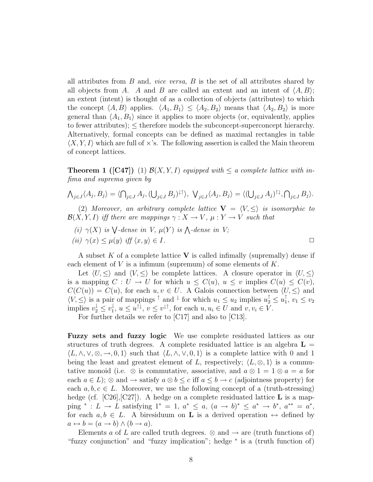all attributes from  $B$  and, *vice versa*,  $B$  is the set of all attributes shared by all objects from A. A and B are called an extent and an intent of  $\langle A, B \rangle$ ; an extent (intent) is thought of as a collection of objects (attributes) to which the concept  $\langle A, B \rangle$  applies.  $\langle A_1, B_1 \rangle \leq \langle A_2, B_2 \rangle$  means that  $\langle A_2, B_2 \rangle$  is more general than  $\langle A_1, B_1 \rangle$  since it applies to more objects (or, equivalently, applies to fewer attributes);  $\leq$  therefore models the subconcept-superconcept hierarchy. Alternatively, formal concepts can be defined as maximal rectangles in table  $\langle X, Y, I \rangle$  which are full of  $\times$ 's. The following assertion is called the Main theorem of concept lattices.

**Theorem 1** ([C47]) (1)  $\mathcal{B}(X, Y, I)$  equipped with  $\leq a$  complete lattice with infima and suprema given by

$$
\bigwedge_{j\in J}\langle A_j,B_j\rangle=\langle\bigcap_{j\in J}A_j,(\bigcup_{j\in J}B_j)^{\downarrow\uparrow}\rangle,\ \ \bigvee_{j\in J}\langle A_j,B_j\rangle=\langle(\bigcup_{j\in J}A_j)^{\uparrow\downarrow},\bigcap_{j\in J}B_j\rangle.
$$

(2) Moreover, an arbitrary complete lattice  $V = \langle V, \leq \rangle$  is isomorphic to  $\mathcal{B}(X, Y, I)$  iff there are mappings  $\gamma : X \to V$ ,  $\mu : Y \to V$  such that

(i)  $\gamma(X)$  is  $\bigvee$ -dense in V,  $\mu(Y)$  is  $\bigwedge$ -dense in V; (ii)  $\gamma(x) \leq \mu(y)$  iff  $\langle x, y \rangle \in I$ .

A subset K of a complete lattice V is called infimally (supremally) dense if each element of  $V$  is a infimum (supremum) of some elements of  $K$ .

Let  $\langle U, \leq \rangle$  and  $\langle V, \leq \rangle$  be complete lattices. A closure operator in  $\langle U, \leq \rangle$ is a mapping  $C: U \to U$  for which  $u \leq C(u), u \leq v$  implies  $C(u) \leq C(v)$ ,  $C(C(u)) = C(u)$ , for each  $u, v \in U$ . A Galois connection between  $\langle U, \leq \rangle$  and  $\langle V, \leq \rangle$  is a pair of mappings  $\uparrow$  and  $\downarrow$  for which  $u_1 \leq u_2$  implies  $u_2^{\uparrow} \leq u_1^{\uparrow}$  $\frac{1}{1}$ ,  $v_1 \leq v_2$ implies  $v_2^{\downarrow} \leq v_1^{\downarrow}$  $u_1^{\downarrow}$ ,  $u \leq u^{\uparrow \downarrow}$ ,  $v \leq v^{\downarrow \uparrow}$ , for each  $u, u_i \in U$  and  $v, v_i \in V$ .

For further details we refer to [C17] and also to [C13].

Fuzzy sets and fuzzy logic We use complete residuated lattices as our structures of truth degrees. A complete residuated lattice is an algebra  $L =$  $\langle L, \wedge, \vee, \otimes, \to, 0, 1 \rangle$  such that  $\langle L, \wedge, \vee, 0, 1 \rangle$  is a complete lattice with 0 and 1 being the least and greatest element of L, respectively;  $\langle L, \otimes, 1 \rangle$  is a commutative monoid (i.e.  $\otimes$  is commutative, associative, and  $a \otimes 1 = 1 \otimes a = a$  for each  $a \in L$ ; ⊗ and  $\rightarrow$  satisfy  $a \otimes b \leq c$  iff  $a \leq b \rightarrow c$  (adjointness property) for each  $a, b, c \in L$ . Moreover, we use the following concept of a (truth-stressing) hedge (cf.  $[C26], [C27]$ ). A hedge on a complete residuated lattice **L** is a mapping \* : L → L satisfying 1<sup>\*</sup> = 1,  $a^* \le a$ ,  $(a \to b)^* \le a^* \to b^*$ ,  $a^{**} = a^*$ , for each  $a, b \in L$ . A biresiduum on **L** is a derived operation  $\leftrightarrow$  defined by  $a \leftrightarrow b = (a \rightarrow b) \land (b \rightarrow a).$ 

Elements a of L are called truth degrees.  $\otimes$  and  $\rightarrow$  are (truth functions of) "fuzzy conjunction" and "fuzzy implication"; hedge <sup>∗</sup> is a (truth function of)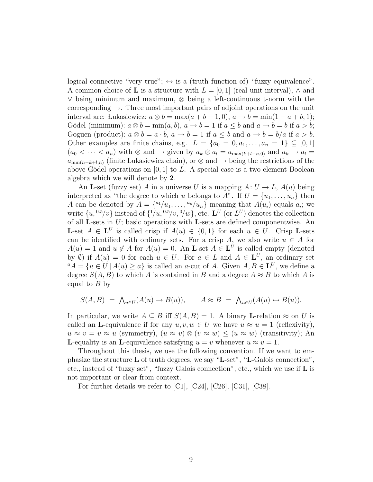logical connective "very true";  $\leftrightarrow$  is a (truth function of) "fuzzy equivalence". A common choice of **L** is a structure with  $L = [0, 1]$  (real unit interval),  $\wedge$  and ∨ being minimum and maximum, ⊗ being a left-continuous t-norm with the corresponding  $\rightarrow$ . Three most important pairs of adjoint operations on the unit interval are: Lukasiewicz:  $a \otimes b = \max(a + b - 1, 0), a \rightarrow b = \min(1 - a + b, 1);$ Gödel (minimum):  $a \otimes b = \min(a, b)$ ,  $a \rightarrow b = 1$  if  $a \leq b$  and  $a \rightarrow b = b$  if  $a > b$ ; Goguen (product):  $a \otimes b = a \cdot b$ ,  $a \rightarrow b = 1$  if  $a \leq b$  and  $a \rightarrow b = b/a$  if  $a > b$ . Other examples are finite chains, e.g.  $L = \{a_0 = 0, a_1, \ldots, a_n = 1\} \subseteq [0, 1]$  $(a_0 < \cdots < a_n)$  with ⊗ and → given by  $a_k \otimes a_l = a_{\max(k+l-n,0)}$  and  $a_k \to a_l =$  $a_{\min(n-k+l,n)}$  (finite Lukasiewicz chain), or ⊗ and → being the restrictions of the above Gödel operations on  $[0, 1]$  to L. A special case is a two-element Boolean algebra which we will denote by 2.

An **L**-set (fuzzy set) A in a universe U is a mapping  $A: U \to L$ ,  $A(u)$  being interpreted as "the degree to which u belongs to A". If  $U = \{u_1, \ldots, u_n\}$  then A can be denoted by  $A = \{a_1/u_1, \ldots, a_n/u_n\}$  meaning that  $A(u_i)$  equals  $a_i$ ; we write  $\{u, {}^{0.5}/v\}$  instead of  $\{1/u, {}^{0.5}/v, {}^{0}/w\}$ , etc.  $\mathbf{L}^{U}$  (or  $L^{U}$ ) denotes the collection of all **L**-sets in  $U$ ; basic operations with **L**-sets are defined componentwise. An **L**-set  $A \in \mathbf{L}^U$  is called crisp if  $A(u) \in \{0,1\}$  for each  $u \in U$ . Crisp **L**-sets can be identified with ordinary sets. For a crisp A, we also write  $u \in A$  for  $A(u) = 1$  and  $u \notin A$  for  $A(u) = 0$ . An **L**-set  $A \in L^U$  is called empty (denoted by  $\emptyset$ ) if  $A(u) = 0$  for each  $u \in U$ . For  $a \in L$  and  $A \in L^U$ , an ordinary set  ${}^{\alpha}A = \{u \in U \mid A(u) \geq a\}$  is called an a-cut of A. Given  $A, B \in L^U$ , we define a degree  $S(A, B)$  to which A is contained in B and a degree  $A \approx B$  to which A is equal to  $B$  by

$$
S(A, B) = \bigwedge_{u \in U} (A(u) \to B(u)), \qquad A \approx B = \bigwedge_{u \in U} (A(u) \leftrightarrow B(u)).
$$

In particular, we write  $A \subseteq B$  iff  $S(A, B) = 1$ . A binary **L**-relation  $\approx$  on U is called an **L**-equivalence if for any  $u, v, w \in U$  we have  $u \approx u = 1$  (reflexivity),  $u \approx v = v \approx u$  (symmetry),  $(u \approx v) \otimes (v \approx w) \leq (u \approx w)$  (transitivity); An **L**-equality is an **L**-equivalence satisfying  $u = v$  whenever  $u \approx v = 1$ .

Throughout this thesis, we use the following convention. If we want to emphasize the structure L of truth degrees, we say "L-set", "L-Galois connection", etc., instead of "fuzzy set", "fuzzy Galois connection", etc., which we use if  $\bf{L}$  is not important or clear from context.

For further details we refer to [C1], [C24], [C26], [C31], [C38].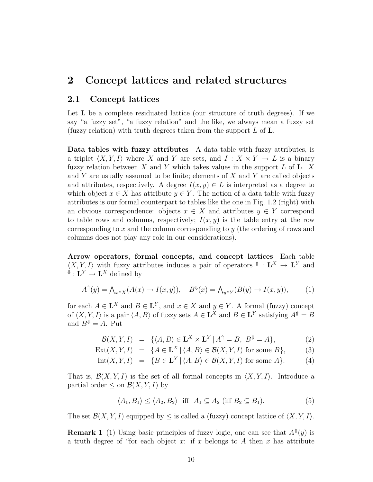## 2 Concept lattices and related structures

#### 2.1 Concept lattices

Let **L** be a complete residuated lattice (our structure of truth degrees). If we say "a fuzzy set", "a fuzzy relation" and the like, we always mean a fuzzy set (fuzzy relation) with truth degrees taken from the support  $L$  of  $L$ .

Data tables with fuzzy attributes A data table with fuzzy attributes, is a triplet  $\langle X, Y, I \rangle$  where X and Y are sets, and  $I : X \times Y \to L$  is a binary fuzzy relation between  $X$  and  $Y$  which takes values in the support  $L$  of  $L$ .  $X$ and Y are usually assumed to be finite; elements of X and Y are called objects and attributes, respectively. A degree  $I(x, y) \in L$  is interpreted as a degree to which object  $x \in X$  has attribute  $y \in Y$ . The notion of a data table with fuzzy attributes is our formal counterpart to tables like the one in Fig. 1.2 (right) with an obvious correspondence: objects  $x \in X$  and attributes  $y \in Y$  correspond to table rows and columns, respectively;  $I(x, y)$  is the table entry at the row corresponding to x and the column corresponding to y (the ordering of rows and columns does not play any role in our considerations).

Arrow operators, formal concepts, and concept lattices Each table  $\langle X, Y, I \rangle$  with fuzzy attributes induces a pair of operators  $\hat{P}: L^X \to L^Y$  and  $\mathcal{L}^Y \to \mathbf{L}^X$  defined by

$$
A^{\uparrow}(y) = \bigwedge_{x \in X} (A(x) \to I(x, y)), \quad B^{\downarrow}(x) = \bigwedge_{y \in Y} (B(y) \to I(x, y)), \tag{1}
$$

for each  $A \in \mathbf{L}^X$  and  $B \in \mathbf{L}^Y$ , and  $x \in X$  and  $y \in Y$ . A formal (fuzzy) concept of  $\langle X, Y, I \rangle$  is a pair  $\langle A, B \rangle$  of fuzzy sets  $A \in L^X$  and  $B \in L^Y$  satisfying  $A^{\dagger} = B$ and  $B^{\Downarrow} = A$ . Put

$$
\mathcal{B}(X,Y,I) = \{ \langle A,B \rangle \in \mathbf{L}^X \times \mathbf{L}^Y | A^{\uparrow\uparrow} = B, B^{\downarrow\downarrow} = A \},
$$
 (2)

$$
Ext(X, Y, I) = \{ A \in \mathbf{L}^X \mid \langle A, B \rangle \in \mathcal{B}(X, Y, I) \text{ for some } B \},
$$
 (3)

$$
Int(X, Y, I) = \{ B \in \mathbf{L}^Y \mid \langle A, B \rangle \in \mathcal{B}(X, Y, I) \text{ for some } A \}. \tag{4}
$$

That is,  $\mathcal{B}(X, Y, I)$  is the set of all formal concepts in  $\langle X, Y, I \rangle$ . Introduce a partial order  $\leq$  on  $\mathcal{B}(X, Y, I)$  by

$$
\langle A_1, B_1 \rangle \le \langle A_2, B_2 \rangle \quad \text{iff} \quad A_1 \subseteq A_2 \text{ (iff } B_2 \subseteq B_1). \tag{5}
$$

The set  $\mathcal{B}(X, Y, I)$  equipped by  $\leq$  is called a (fuzzy) concept lattice of  $\langle X, Y, I \rangle$ .

**Remark 1** (1) Using basic principles of fuzzy logic, one can see that  $A^{\dagger}(y)$  is a truth degree of "for each object x: if x belongs to A then x has attribute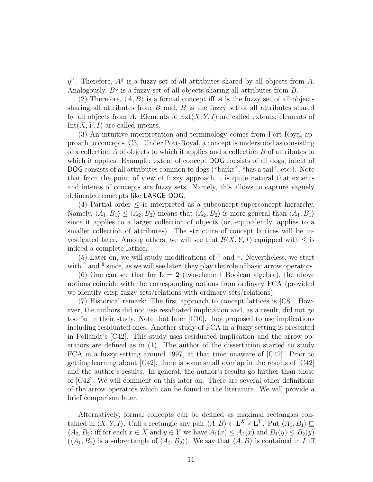y". Therefore,  $A^{\uparrow}$  is a fuzzy set of all attributes shared by all objects from A. Analogously,  $B^{\psi}$  is a fuzzy set of all objects sharing all attributes from B.

(2) Therefore,  $\langle A, B \rangle$  is a formal concept iff A is the fuzzy set of all objects sharing all attributes from  $B$  and,  $B$  is the fuzzy set of all attributes shared by all objects from A. Elements of  $Ext(X, Y, I)$  are called extents; elements of  $Int(X, Y, I)$  are called intents.

(3) An intuitive interpretation and terminology comes from Port-Royal approach to concepts [C3]. Under Port-Royal, a concept is understood as consisting of a collection  $A$  of objects to which it applies and a collection  $B$  of attributes to which it applies. Example: extent of concept DOG consists of all dogs, intent of DOG consists of all attributes common to dogs ("barks", "has a tail", etc.). Note that from the point of view of fuzzy approach it is quite natural that extents and intents of concepts are fuzzy sets. Namely, this allows to capture vaguely delineated concepts like LARGE DOG.

(4) Partial order  $\leq$  is interpreted as a subconcept-superconcept hierarchy. Namely,  $\langle A_1, B_1 \rangle \leq \langle A_2, B_2 \rangle$  means that  $\langle A_2, B_2 \rangle$  is more general than  $\langle A_1, B_1 \rangle$ since it applies to a larger collection of objects (or, equivalently, applies to a smaller collection of attributes). The structure of concept lattices will be investigated later. Among others, we will see that  $\mathcal{B}(X, Y, I)$  equipped with  $\leq$  is indeed a complete lattice.

(5) Later on, we will study modifications of  $\uparrow$  and  $\downarrow$ . Nevertheless, we start with  $\uparrow$  and  $\downarrow$  since, as we will see later, they play the role of basic arrow operators.

(6) One can see that for  $\mathbf{L} = 2$  (two-element Boolean algebra), the above notions coincide with the corresponding notions from ordinary FCA (provided we identify crisp fuzzy sets/relations with ordinary sets/relations).

(7) Historical remark: The first approach to concept lattices is [C8]. However, the authors did not use residuated implication and, as a result, did not go too far in their study. Note that later [C10], they proposed to use implications including residuated ones. Another study of FCA in a fuzzy setting is presented in Pollandt's [C42]. This study uses residuated implication and the arrow operators are defined as in (1). The author of the dissertation started to study FCA in a fuzzy setting around 1997, at that time unaware of [C42]. Prior to getting learning about  $\lvert C42 \rvert$ , there is some small overlap in the results of  $\lvert C42 \rvert$ and the author's results. In general, the author's results go farther than those of [C42]. We will comment on this later on. There are several other definitions of the arrow operators which can be found in the literature. We will provide a brief comparison later.

Alternatively, formal concepts can be defined as maximal rectangles contained in  $\langle X, Y, I \rangle$ . Call a rectangle any pair  $\langle A, B \rangle \in \mathbf{L}^{X} \times \mathbf{L}^{Y}$ . Put  $\langle A_1, B_1 \rangle \sqsubseteq$  $\langle A_2, B_2 \rangle$  iff for each  $x \in X$  and  $y \in Y$  we have  $A_1(x) \leq A_2(x)$  and  $B_1(y) \leq B_2(y)$  $(\langle A_1, B_1 \rangle)$  is a subrectangle of  $\langle A_2, B_2 \rangle$ . We say that  $\langle A, B \rangle$  is contained in I iff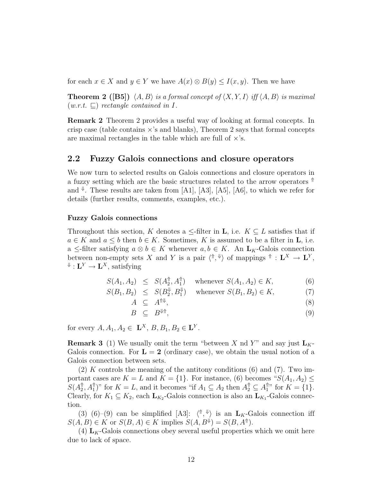for each  $x \in X$  and  $y \in Y$  we have  $A(x) \otimes B(y) \leq I(x, y)$ . Then we have

**Theorem 2** ([B5])  $\langle A, B \rangle$  is a formal concept of  $\langle X, Y, I \rangle$  iff  $\langle A, B \rangle$  is maximal  $(w.r.t. \sqsubset)$  rectangle contained in I.

Remark 2 Theorem 2 provides a useful way of looking at formal concepts. In crisp case (table contains  $\times$ 's and blanks), Theorem 2 says that formal concepts are maximal rectangles in the table which are full of  $\times$ 's.

#### 2.2 Fuzzy Galois connections and closure operators

We now turn to selected results on Galois connections and closure operators in a fuzzy setting which are the basic structures related to the arrow operators  $\uparrow$ and  $\mathbb{I}$ . These results are taken from [A1], [A3], [A5], [A6], to which we refer for details (further results, comments, examples, etc.).

#### Fuzzy Galois connections

Throughout this section, K denotes a  $\leq$ -filter in **L**, i.e.  $K \subseteq L$  satisfies that if  $a \in K$  and  $a \leq b$  then  $b \in K$ . Sometimes, K is assumed to be a filter in **L**, i.e. a  $\leq$ -filter satisfying  $a \otimes b \in K$  whenever  $a, b \in K$ . An  $\mathbf{L}_K$ -Galois connection between non-empty sets X and Y is a pair  $\langle \hat{\phi}, \hat{\psi} \rangle$  of mappings  $\hat{\phi}: \mathbf{L}^X \to \mathbf{L}^Y$ ,  $\mathcal{L}^Y \to \mathbf{L}^X$ , satisfying

$$
S(A_1, A_2) \leq S(A_2^{\uparrow\uparrow}, A_1^{\uparrow\uparrow}) \quad \text{whenever } S(A_1, A_2) \in K,
$$
 (6)

$$
S(B_1, B_2) \leq S(B_2^{\Downarrow}, B_1^{\Downarrow}) \quad \text{whenever } S(B_1, B_2) \in K,
$$
 (7)

$$
A \subseteq A^{\uparrow \Downarrow}, \tag{8}
$$

$$
B \ \subseteq \ B^{\Downarrow \Uparrow}, \tag{9}
$$

for every  $A, A_1, A_2 \in \mathbf{L}^X, B, B_1, B_2 \in \mathbf{L}^Y$ .

**Remark 3** (1) We usually omit the term "between X nd Y" and say just  $L_K$ -Galois connection. For  $\mathbf{L} = 2$  (ordinary case), we obtain the usual notion of a Galois connection between sets.

 $(2)$  K controls the meaning of the antitony conditions  $(6)$  and  $(7)$ . Two important cases are  $K = L$  and  $K = \{1\}$ . For instance, (6) becomes " $S(A_1, A_2) \leq$  $S(A_2^{\Uparrow})$  $\hat{A}_1^{\uparrow}, A_1^{\uparrow\uparrow}$  or  $K = L$ , and it becomes "if  $A_1 \subseteq A_2$  then  $A_2^{\uparrow\uparrow} \subseteq A_1^{\uparrow\uparrow}$  $_{1}^{\mathbb{I}}$ " for  $K = \{1\}$ . Clearly, for  $K_1 \subseteq K_2$ , each  $\mathbf{L}_{K_2}$ -Galois connection is also an  $\mathbf{L}_{K_1}$ -Galois connection.

(3) (6)–(9) can be simplified [A3]:  $\langle \,^{\uparrow}, \,^{\downarrow} \rangle$  is an  $L_K$ -Galois connection iff  $S(A, B) \in K$  or  $S(B, A) \in K$  implies  $S(A, B^{\Downarrow}) = S(B, A^{\Uparrow})$ .

(4)  $L_K$ -Galois connections obey several useful properties which we omit here due to lack of space.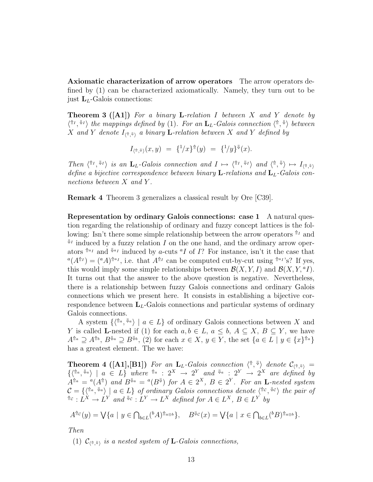Axiomatic characterization of arrow operators The arrow operators defined by (1) can be characterized axiomatically. Namely, they turn out to be just  $L<sub>L</sub>$ -Galois connections:

**Theorem 3 ([A1])** For a binary **L**-relation I between X and Y denote by  $\langle \hat{H}^I, \hat{H}^J \rangle$  the mappings defined by (1). For an  $\mathbf{L}_L$ -Galois connection  $\langle \hat{H}, \hat{H} \rangle$  between X and Y denote  $I_{\langle \Uparrow,\Downarrow\rangle}$  a binary **L**-relation between X and Y defined by

$$
I_{\langle \hat{\tau}, \hat{\tau} \rangle}(x, y) = \{^1/x\}^{\hat{\tau}}(y) = \{^1/y\}^{\hat{\tau}}(x).
$$

Then  $\langle \hat{H}^I, \hat{H}^I \rangle$  is an  $\mathbf{L}_L$ -Galois connection and  $I \mapsto \langle \hat{H}^I, \hat{H}^I \rangle$  and  $\langle \hat{H}, \hat{H} \rangle \mapsto I_{\langle \hat{H}, \hat{H} \rangle}$ define a bijective correspondence between binary **L**-relations and  $L<sub>L</sub>$ -Galois connections between X and Y.

Remark 4 Theorem 3 generalizes a classical result by Ore [C39].

Representation by ordinary Galois connections: case 1 A natural question regarding the relationship of ordinary and fuzzy concept lattices is the following: Isn't there some simple relationship between the arrow operators  $\mathbb{M}$  and  $\mathbb{I}$  induced by a fuzzy relation I on the one hand, and the ordinary arrow operators  $\mathbb{A}^{a_I}$  and  $\mathbb{A}^{a_I}$  induced by *a*-cuts <sup>*a*</sup>*I* of *I*? For instance, isn't it the case that  $\alpha(A^{\uparrow\uparrow}I) = ({}^aA)^{\uparrow\uparrow a}I$ , i.e. that  $A^{\uparrow\uparrow I}$  can be computed cut-by-cut using  ${}^{\uparrow\uparrow a}I$ 's? If yes, this would imply some simple relationships between  $\mathcal{B}(X, Y, I)$  and  $\mathcal{B}(X, Y, {}^a I)$ . It turns out that the answer to the above question is negative. Nevertheless, there is a relationship between fuzzy Galois connections and ordinary Galois connections which we present here. It consists in establishing a bijective correspondence between  $L<sub>L</sub>$ -Galois connections and particular systems of ordinary Galois connections.

A system  $\{\langle \hat{a}, \hat{b}^a \rangle \mid a \in L\}$  of ordinary Galois connections between X and Y is called **L**-nested if (1) for each  $a, b \in L$ ,  $a \leq b$ ,  $A \subseteq X$ ,  $B \subseteq Y$ , we have  $A^{\Uparrow a} \supseteq A^{\Uparrow b}$ ,  $B^{\Downarrow a} \supseteq B^{\Downarrow b}$ , (2) for each  $x \in X$ ,  $y \in Y$ , the set  $\{a \in L \mid y \in \{x\}^{\Uparrow a}\}\$ has a greatest element. The we have:

**Theorem 4** ([A1], [B1]) For an  $\mathbf{L}_L$ -Galois connection  $\langle \hat{\mathbf{n}}, \hat{\mathbf{\psi}} \rangle$  denote  $\mathcal{C}_{\langle \hat{\mathbf{n}}, \hat{\mathbf{\psi}} \rangle}$  =  $\{ \langle \mathbb{T}^a, \mathbb{T}^a \rangle \mid a \in L \}$  where  $\mathbb{T}^a : 2^X \to 2^Y$  and  $\mathbb{T}^a : 2^Y \to 2^X$  are defined by  $A^{\Uparrow a} = {}^a(A^{\Uparrow})$  and  $B^{\Downarrow a} = {}^a(B^{\Downarrow})$  for  $A \in 2^X$ ,  $B \in 2^Y$ . For an **L**-nested system  $\mathcal{C} = \{ \langle \mathbb{A}^a, \mathbb{A}^a \rangle \mid a \in L \}$  of ordinary Galois connections denote  $\langle \mathbb{A}^c, \mathbb{A}^c \rangle$  the pair of  $\mathbb{A}^c : L^X \to L^Y$  and  $\mathbb{A}^c : L^Y \to L^X$  defined for  $A \in L^X$ ,  $B \in L^Y$  by

$$
A^{\Uparrow c}(y) = \bigvee \{a \mid y \in \bigcap_{b \in L} ({}^b A)^{\Uparrow a \otimes b} \}, \quad B^{\Downarrow c}(x) = \bigvee \{a \mid x \in \bigcap_{b \in L} ({}^b B)^{\Uparrow a \otimes b} \}.
$$

Then

(1)  $\mathcal{C}_{\langle \Uparrow,\Downarrow \rangle}$  is a nested system of **L**-Galois connections,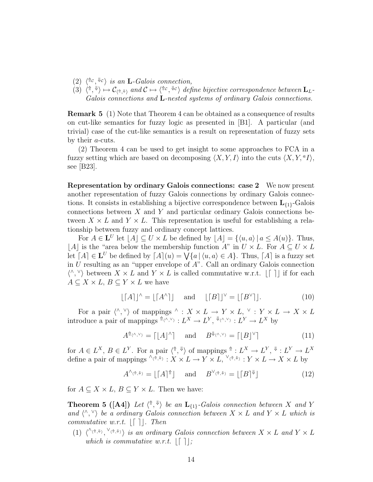- (2)  $\langle \text{Re}, \text{Re} \rangle$  is an **L**-Galois connection,
- (3)  $\langle \hat{\theta}, \hat{\psi} \rangle \mapsto C_{\langle \hat{\theta}, \hat{\psi} \rangle}$  and  $\mathcal{C} \mapsto \langle \hat{\theta}^c, \hat{\psi}^c \rangle$  define bijective correspondence between  $\mathbf{L}_L$ Galois connections and L-nested systems of ordinary Galois connections.

Remark 5 (1) Note that Theorem 4 can be obtained as a consequence of results on cut-like semantics for fuzzy logic as presented in [B1]. A particular (and trivial) case of the cut-like semantics is a result on representation of fuzzy sets by their a-cuts.

(2) Theorem 4 can be used to get insight to some approaches to FCA in a fuzzy setting which are based on decomposing  $\langle X, Y, I \rangle$  into the cuts  $\langle X, Y, {}^a I \rangle$ , see [B23].

Representation by ordinary Galois connections: case 2 We now present another representation of fuzzy Galois connections by ordinary Galois connections. It consists in establishing a bijective correspondence between  $L_{\{1\}}$ -Galois connections between X and Y and particular ordinary Galois connections between  $X \times L$  and  $Y \times L$ . This representation is useful for establishing a relationship between fuzzy and ordinary concept lattices.

For  $A \in L^U$  let  $|A| \subseteq U \times L$  be defined by  $|A| = \{\langle u, a \rangle | a \leq A(u)\}.$  Thus, |A| is the "area below the membership function A" in  $U \times L$ . For  $A \subseteq U \times L$ let  $[A] \in L^U$  be defined by  $[A](u) = \bigvee \{a \mid \langle u, a \rangle \in A\}$ . Thus,  $[A]$  is a fuzzy set in U resulting as an "upper envelope of  $A$ ". Call an ordinary Galois connection  $\langle \wedge, \vee \rangle$  between  $X \times L$  and  $Y \times L$  is called commutative w.r.t.  $|\Gamma|$  if for each  $A \subseteq X \times L$ ,  $B \subseteq Y \times L$  we have

$$
\lfloor [A] \rfloor^{\wedge} = \lfloor [A^{\wedge}] \rfloor \quad \text{and} \quad \lfloor [B] \rfloor^{\vee} = \lfloor [B^{\vee}] \rfloor. \tag{10}
$$

For a pair  $\langle \wedge, \vee \rangle$  of mappings  $\wedge : X \times L \to Y \times L$ ,  $\vee : Y \times L \to X \times L$ introduce a pair of mappings  $^{\Uparrow\langle\wedge,\vee\rangle}: L^X \to L^Y, \sqrt[\Downarrow\langle\wedge,\vee\rangle}: L^Y \to L^X$  by

$$
A^{\uparrow\uparrow\langle\wedge,\vee\rangle} = \lceil [A]^\wedge \rceil \quad \text{and} \quad B^{\Downarrow\langle\wedge,\vee\rangle} = \lceil [B]^\vee \rceil \tag{11}
$$

for  $A \in L^X$ ,  $B \in L^Y$ . For a pair  $\langle \uparrow, \downarrow \rangle$  of mappings  $\uparrow : L^X \to L^Y$ ,  $\uparrow : L^Y \to L^X$ define a pair of mappings  $\sqrt[n]{(n,\psi)} : X \times L \to Y \times L$ ,  $\sqrt[n]{(n,\psi)} : Y \times L \to X \times L$  by

$$
A^{\wedge_{\langle \uparrow, \Downarrow \rangle}} = \lfloor [A]^{\Uparrow} \rfloor \quad \text{ and } \quad B^{\vee_{\langle \uparrow, \Downarrow \rangle}} = \lfloor [B]^{\Downarrow} \rfloor \tag{12}
$$

for  $A \subseteq X \times L$ ,  $B \subseteq Y \times L$ . Then we have:

**Theorem 5** ([A4]) Let  $\langle \hat{\uparrow}, \hat{\uparrow} \rangle$  be an  $\mathbf{L}_{\{1\}}$ -Galois connection between X and Y and  $\langle \wedge, \vee \rangle$  be a ordinary Galois connection between  $X \times L$  and  $Y \times L$  which is commutative w.r.t.  $\lfloor \lceil \cdot \rceil \rfloor$ . Then

(1)  $\langle^{\wedge_{\langle \hat{\Pi}, \Psi \rangle}},^{\vee_{\langle \hat{\Pi}, \Psi \rangle}} \rangle$  is an ordinary Galois connection between  $X \times L$  and  $Y \times L$ which is commutative w.r.t.  $\lfloor \lceil \cdot \rceil \rfloor$ ;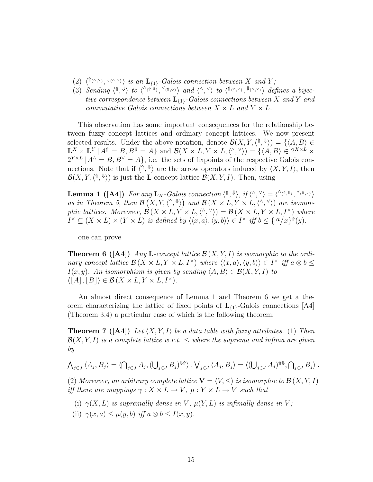- (2)  $\langle \hat{\mathbb{R}} \langle \hat{\mathbb{R}} \rangle$ ,  $\langle \hat{\mathbb{R}} \langle \hat{\mathbb{R}} \rangle$  is an  $\mathbf{L}_{\{1\}}$ -Galois connection between X and Y;
- (3) Sending  $\langle \uparrow, \downarrow \rangle$  to  $\langle \wedge \langle \uparrow, \downarrow \rangle$ ,  $\vee \langle \uparrow, \downarrow \rangle$  and  $\langle \wedge, \vee \rangle$  to  $\langle \uparrow \langle \wedge, \vee \rangle$ ,  $\downarrow \langle \wedge, \vee \rangle$  defines a bijective correspondence between  $\mathbf{L}_{\{1\}}$ -Galois connections between X and Y and commutative Galois connections between  $X \times L$  and  $Y \times L$ .

This observation has some important consequences for the relationship between fuzzy concept lattices and ordinary concept lattices. We now present selected results. Under the above notation, denote  $\mathcal{B}(X, Y, \langle \hat{\mathbb{I}}, \hat{\mathbb{I}} \rangle) = \{ \langle A, B \rangle \in$  $\mathbf{L}^X \times \mathbf{L}^Y | A^{\dagger} = B, B^{\dagger} = A \}$  and  $\mathcal{B}(X \times L, Y \times L, \langle \wedge, \vee \rangle) = \{ \langle A, B \rangle \in 2^{X \times L} \times$  $2^{Y \times L}$   $A^{\wedge} = B, B^{\vee} = A$ , i.e. the sets of fixpoints of the respective Galois connections. Note that if  $\langle \hat{\phi}, \hat{\psi} \rangle$  are the arrow operators induced by  $\langle X, Y, I \rangle$ , then  $\mathcal{B}(X, Y, \langle \mathbf{a}, \mathbf{b} \rangle)$  is just the **L**-concept lattice  $\mathcal{B}(X, Y, I)$ . Then, using

**Lemma 1** ([A4]) For any  $\mathbf{L}_K$ -Galois connection  $\langle \hat{\mathbf{h}}, \hat{\mathbf{w}} \rangle$ , if  $\langle \hat{\mathbf{h}}, \hat{\mathbf{v}} \rangle = \langle \hat{\mathbf{h}} \langle \hat{\mathbf{h}}, \hat{\mathbf{w}} \rangle$ ,  $\langle \hat{\mathbf{h}}, \hat{\mathbf{w}} \rangle$ as in Theorem 5, then  $\mathcal{B}(X, Y, \langle \mathbf{a}, \mathbf{b} \rangle)$  and  $\mathcal{B}(X \times L, Y \times L, \langle \mathbf{a}, \mathbf{b} \rangle)$  are isomorphic lattices. Moreover,  $\mathcal{B}(X \times L, Y \times L, \langle \wedge, \vee \rangle) = \mathcal{B}(X \times L, Y \times L, I^{\times})$  where  $I^{\times} \subseteq (X \times L) \times (Y \times L)$  is defined by  $\langle \langle x, a \rangle, \langle y, b \rangle \rangle \in I^{\times}$  iff  $b \leq \{ a/x \}^{\hat{\pi}}(y)$ .

one can prove

**Theorem 6 ([A4])** Any **L**-concept lattice  $\mathcal{B}(X, Y, I)$  is isomorphic to the ordinary concept lattice  $\mathcal{B}(X \times L, Y \times L, I^{\times})$  where  $\langle\langle x, a \rangle, \langle y, b \rangle\rangle \in I^{\times}$  iff  $a \otimes b \leq$  $I(x, y)$ . An isomorphism is given by sending  $\langle A, B \rangle \in \mathcal{B}(X, Y, I)$  to  $\langle |A|, |B| \rangle \in \mathcal{B}(X \times L, Y \times L, I^{\times}).$ 

An almost direct consequence of Lemma 1 and Theorem 6 we get a theorem characterizing the lattice of fixed points of  $L_{\{1\}}$ -Galois connections [A4] (Theorem 3.4) a particular case of which is the following theorem.

**Theorem 7** ([A4]) Let  $\langle X, Y, I \rangle$  be a data table with fuzzy attributes. (1) Then  $\mathcal{B}(X, Y, I)$  is a complete lattice w.r.t.  $\leq$  where the suprema and infima are given by

$$
\bigwedge_{j\in J}\langle A_j,B_j\rangle=\langle \bigcap_{j\in J}A_j,(\bigcup_{j\in J}B_j)^{\Downarrow\uparrow}\rangle,\bigvee_{j\in J}\langle A_j,B_j\rangle=\langle (\bigcup_{j\in J}A_j)^{\Uparrow\Downarrow},\bigcap_{j\in J}B_j\rangle.
$$

(2) Moreover, an arbitrary complete lattice  $\mathbf{V} = \langle V, \leq \rangle$  is isomorphic to  $\mathcal{B}(X, Y, I)$ iff there are mappings  $\gamma: X \times L \to V$ ,  $\mu: Y \times L \to V$  such that

- (i)  $\gamma(X, L)$  is supremally dense in V,  $\mu(Y, L)$  is infimally dense in V;
- (ii)  $\gamma(x, a) \leq \mu(y, b)$  iff  $a \otimes b \leq I(x, y)$ .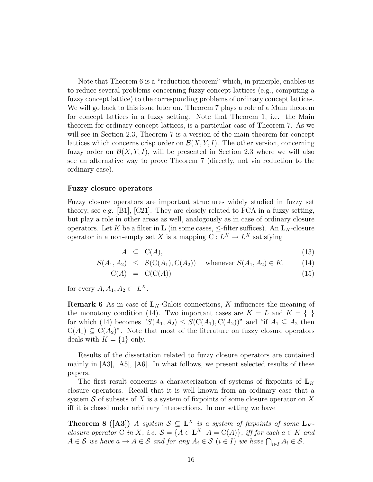Note that Theorem 6 is a "reduction theorem" which, in principle, enables us to reduce several problems concerning fuzzy concept lattices (e.g., computing a fuzzy concept lattice) to the corresponding problems of ordinary concept lattices. We will go back to this issue later on. Theorem 7 plays a role of a Main theorem for concept lattices in a fuzzy setting. Note that Theorem 1, i.e. the Main theorem for ordinary concept lattices, is a particular case of Theorem 7. As we will see in Section 2.3, Theorem 7 is a version of the main theorem for concept lattices which concerns crisp order on  $\mathcal{B}(X, Y, I)$ . The other version, concerning fuzzy order on  $\mathcal{B}(X, Y, I)$ , will be presented in Section 2.3 where we will also see an alternative way to prove Theorem 7 (directly, not via reduction to the ordinary case).

#### Fuzzy closure operators

Fuzzy closure operators are important structures widely studied in fuzzy set theory, see e.g. [B1], [C21]. They are closely related to FCA in a fuzzy setting, but play a role in other areas as well, analogously as in case of ordinary closure operators. Let K be a filter in **L** (in some cases,  $\leq$ -filter suffices). An  $\mathbf{L}_K$ -closure operator in a non-empty set X is a mapping  $C: L^X \to L^X$  satisfying

$$
A \subseteq \mathcal{C}(A), \tag{13}
$$

$$
S(A_1, A_2) \leq S(C(A_1), C(A_2)) \quad \text{whenever } S(A_1, A_2) \in K,
$$
 (14)

$$
C(A) = C(C(A)) \tag{15}
$$

for every  $A, A_1, A_2 \in L^X$ .

**Remark 6** As in case of  $L_K$ -Galois connections, K influences the meaning of the monotony condition (14). Two important cases are  $K = L$  and  $K = \{1\}$ for which (14) becomes " $S(A_1, A_2) \leq S(C(A_1), C(A_2))$ " and "if  $A_1 \subseteq A_2$  then  $C(A_1) \subseteq C(A_2)$ ". Note that most of the literature on fuzzy closure operators deals with  $K = \{1\}$  only.

Results of the dissertation related to fuzzy closure operators are contained mainly in [A3], [A5], [A6]. In what follows, we present selected results of these papers.

The first result concerns a characterization of systems of fixpoints of  $L_K$ closure operators. Recall that it is well known from an ordinary case that a system S of subsets of X is a system of fixpoints of some closure operator on X iff it is closed under arbitrary intersections. In our setting we have

**Theorem 8** ([A3]) A system  $S \subseteq L^X$  is a system of fixpoints of some  $L_K$ closure operator C in X, i.e.  $S = \{A \in \mathbf{L}^X | A = C(A)\}$ , iff for each  $a \in K$  and  $A \in \mathcal{S}$  we have  $a \to A \in \mathcal{S}$  and for any  $A_i \in \mathcal{S}$   $(i \in I)$  we have  $\bigcap_{i \in I} A_i \in \mathcal{S}$ .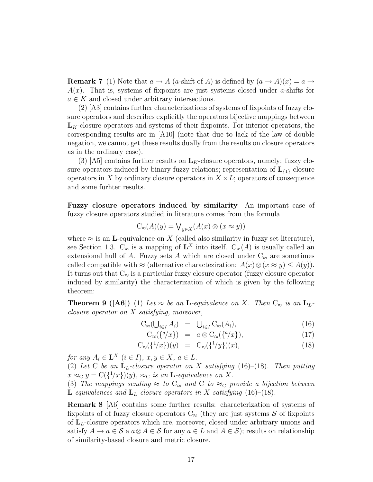**Remark 7** (1) Note that  $a \to A$  (a-shift of A) is defined by  $(a \to A)(x) = a \to \infty$  $A(x)$ . That is, systems of fixpoints are just systems closed under a-shifts for  $a \in K$  and closed under arbitrary intersections.

(2) [A3] contains further characterizations of systems of fixpoints of fuzzy closure operators and describes explicitly the operators bijective mappings between  $L_K$ -closure operators and systems of their fixpoints. For interior operators, the corresponding results are in [A10] (note that due to lack of the law of double negation, we cannot get these results dually from the results on closure operators as in the ordinary case).

(3) [A5] contains further results on  $L_K$ -closure operators, namely: fuzzy closure operators induced by binary fuzzy relations; representation of  $L_{\{1\}}$ -closure operators in X by ordinary closure operators in  $X \times L$ ; operators of consequence and some furhter results.

Fuzzy closure operators induced by similarity An important case of fuzzy closure operators studied in literature comes from the formula

$$
C_{\approx}(A)(y) = \bigvee_{y \in X} (A(x) \otimes (x \approx y))
$$

where  $\approx$  is an **L**-equivalence on X (called also similarity in fuzzy set literature), see Section 1.3.  $C_{\approx}$  is a mapping of  $\mathbf{L}^X$  into itself.  $C_{\approx}(A)$  is usually called an extensional hull of A. Fuzzy sets A which are closed under  $C_{\approx}$  are sometimes called compatible with  $\approx$  (alternative characteziration:  $A(x) \otimes (x \approx y) \leq A(y)$ ). It turns out that  $C_{\approx}$  is a particular fuzzy closure operator (fuzzy closure operator induced by similarity) the characterization of which is given by the following theorem:

**Theorem 9 ([A6])** (1) Let  $\approx$  be an **L**-equivalence on X. Then  $C_{\approx}$  is an  $L_L$ closure operator on X satisfying, moreover,

$$
C_{\approx}(\bigcup_{i \in I} A_i) = \bigcup_{i \in I} C_{\approx}(A_i), \tag{16}
$$

$$
C_{\approx}(\{^a/x\}) = a \otimes C_{\approx}(\{^a/x\}), \tag{17}
$$

$$
C_{\approx}(\{1/x\})(y) = C_{\approx}(\{1/y\})(x), \tag{18}
$$

for any  $A_i \in \mathbf{L}^X$   $(i \in I)$ ,  $x, y \in X$ ,  $a \in L$ .

(2) Let C be an  $L_L$ -closure operator on X satisfying (16)–(18). Then putting  $x \approx_C y = C({1/x})(y)$ ,  $\approx_C$  is an **L**-equivalence on X.

(3) The mappings sending  $\approx$  to  $C_{\approx}$  and C to  $\approx_C$  provide a bijection between **L**-equivalences and  $L<sub>L</sub>$ -closure operators in X satisfying (16)–(18).

Remark 8 [A6] contains some further results: characterization of systems of fixpoints of of fuzzy closure operators  $C_{\approx}$  (they are just systems S of fixpoints of  $L<sub>L</sub>$ -closure operators which are, moreover, closed under arbitrary unions and satisfy  $A \to a \in \mathcal{S}$  a  $a \otimes A \in \mathcal{S}$  for any  $a \in L$  and  $A \in \mathcal{S}$ ; results on relationship of similarity-based closure and metric closure.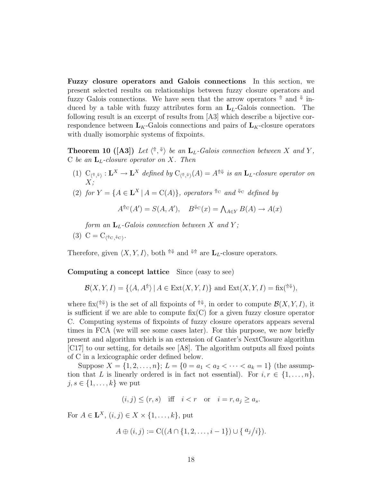Fuzzy closure operators and Galois connections In this section, we present selected results on relationships between fuzzy closure operators and fuzzy Galois connections. We have seen that the arrow operators  $\uparrow$  and  $\downarrow$  induced by a table with fuzzy attributes form an  $L<sub>L</sub>$ -Galois connection. The following result is an excerpt of results from [A3] which describe a bijective correspondence between  $L_K$ -Galois connections and pairs of  $L_K$ -closure operators with dually isomorphic systems of fixpoints.

**Theorem 10** ([A3]) Let  $\langle \uparrow, \downarrow \rangle$  be an  $\mathbf{L}_L$ -Galois connection between X and Y, C be an  $L<sub>L</sub>$ -closure operator on X. Then

- (1)  $C_{\langle \hat{\uparrow}, \downarrow \rangle} : \mathbf{L}^X \to \mathbf{L}^X$  defined by  $C_{\langle \hat{\uparrow}, \downarrow \rangle}(A) = A^{\hat{\uparrow} \downarrow}$  is an  $\mathbf{L}_L$ -closure operator on  $X;$
- (2) for  $Y = \{A \in \mathbf{L}^X | A = C(A)\}$ , operators  $\text{Re}$  and  $\text{Re}$  defined by

$$
A^{\text{ftc}}(A') = S(A, A'), \quad B^{\text{ftc}}(x) = \bigwedge_{A \in Y} B(A) \to A(x)
$$

form an  $L_L$ -Galois connection between X and Y;

$$
(3) \ C = C_{\langle ^{\Uparrow}C, ^{\Downarrow}C \rangle}.
$$

Therefore, given  $\langle X, Y, I \rangle$ , both  $\mathbb{N} \mathbb{N}$  and  $\mathbb{N} \mathbb{N}$  are  $L_L$ -closure operators.

Computing a concept lattice Since (easy to see)

$$
\mathcal{B}(X,Y,I) = \{ \langle A, A^{\uparrow} \rangle \, | \, A \in \text{Ext}(X,Y,I) \} \text{ and } \text{Ext}(X,Y,I) = \text{fix}(\uparrow \Downarrow),
$$

where fix( $\mathbb{P}^{\downarrow}$ ) is the set of all fixpoints of  $\mathbb{P}^{\downarrow}$ , in order to compute  $\mathcal{B}(X, Y, I)$ , it is sufficient if we are able to compute  $fix(C)$  for a given fuzzy closure operator C. Computing systems of fixpoints of fuzzy closure operators appears several times in FCA (we will see some cases later). For this purpose, we now briefly present and algorithm which is an extension of Ganter's NextClosure algorithm [C17] to our setting, for details see [A8]. The algorithm outputs all fixed points of C in a lexicographic order defined below.

Suppose  $X = \{1, 2, ..., n\}; L = \{0 = a_1 < a_2 < \cdots < a_k = 1\}$  (the assumption that L is linearly ordered is in fact not essential). For  $i, r \in \{1, \ldots, n\}$ ,  $j, s \in \{1, \ldots, k\}$  we put

$$
(i, j) \leq (r, s)
$$
 iff  $i < r$  or  $i = r, a_j \geq a_s$ .

For  $A \in \mathbf{L}^{X}$ ,  $(i, j) \in X \times \{1, \ldots, k\}$ , put

$$
A \oplus (i, j) := \mathcal{C}((A \cap \{1, 2, \dots, i-1\}) \cup \{a_j/i\}).
$$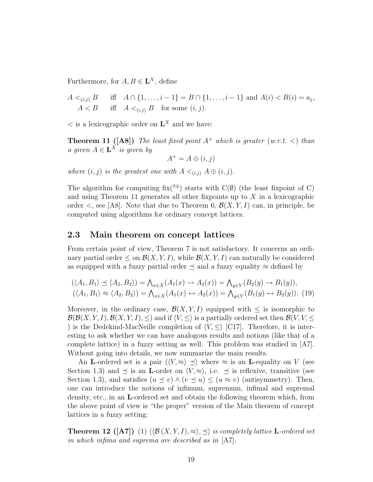Furthermore, for  $A, B \in \mathbf{L}^X$ , define

 $A <_{(i,j)} B$  iff  $A \cap \{1, \ldots, i-1\} = B \cap \{1, \ldots, i-1\}$  and  $A(i) < B(i) = a_j$ ,  $A < B$  iff  $A <_{(i,j)} B$  for some  $(i, j)$ .

 $\lt$  is a lexicographic order on  $\mathbf{L}^X$  and we have:

**Theorem 11 ([A8])** The least fixed point  $A^+$  which is greater (w.r.t.  $\langle$ ) than a given  $A \in \mathbf{L}^X$  is given by

$$
A^+ = A \oplus (i, j)
$$

where  $(i, j)$  is the greatest one with  $A \leq_{(i,j)} A \oplus (i, j)$ .

The algorithm for computing fix( $\mathbb{N}$ ) starts with C( $\emptyset$ ) (the least fixpoint of C) and using Theorem 11 generates all other fixpoints up to  $X$  in a lexicographic order  $\lt$ , see [A8]. Note that due to Theorem 6,  $\mathcal{B}(X, Y, I)$  can, in principle, be computed using algorithms for ordinary concept lattices.

#### 2.3 Main theorem on concept lattices

From certain point of view, Theorem 7 is not satisfactory. It concerns an ordinary partial order  $\leq$  on  $\mathcal{B}(X, Y, I)$ , while  $\mathcal{B}(X, Y, I)$  can naturally be considered as equipped with a fuzzy partial order  $\preceq$  and a fuzzy equality  $\approx$  defined by

$$
(\langle A_1, B_1 \rangle \preceq \langle A_2, B_2 \rangle) = \bigwedge_{x \in X} (A_1(x) \to A_2(x)) = \bigwedge_{y \in Y} (B_2(y) \to B_1(y)),
$$
  

$$
(\langle A_1, B_1 \rangle \approx \langle A_2, B_2 \rangle) = \bigwedge_{x \in X} (A_1(x) \leftrightarrow A_2(x)) = \bigwedge_{y \in Y} (B_1(y) \leftrightarrow B_2(y)).
$$
 (19)

Moreover, in the ordinary case,  $\mathcal{B}(X, Y, I)$  equipped with  $\leq$  is isomorphic to  $\mathcal{B}(\mathcal{B}(X, Y, I), \mathcal{B}(X, Y, I), \leq)$  and if  $\langle V, \leq \rangle$  is a partially ordered set then  $\mathcal{B}(V, V, \leq)$ ) is the Dedekind-MacNeille completion of  $\langle V, \leq \rangle$  [C17]. Therefore, it is interesting to ask whether we can have analogous results and notions (like that of a complete lattice) in a fuzzy setting as well. This problem was studied in [A7]. Without going into details, we now summarize the main results.

An L-ordered set is a pair  $\langle V, \approx \rangle \preceq$  where  $\approx$  is an L-equality on V (see Section 1.3) and  $\preceq$  is an **L**-order on  $\langle V, \approx \rangle$ , i.e.  $\preceq$  is reflexive, transitive (see Section 1.3), and satisfies  $(u \le v) \wedge (v \le u) \le (u \approx v)$  (antisymmetry). Then, one can introduce the notions of infimum, supremum, infimal and supremal density, etc., in an L-ordered set and obtain the following theorem which, from the above point of view is "the proper" version of the Main theorem of concept lattices in a fuzzy setting:

**Theorem 12** ([A7]) (1)  $\langle \langle \mathcal{B}(X, Y, I), \approx \rangle, \preceq \rangle$  is completely lattice **L**-ordered set in which infima and suprema are described as in [A7].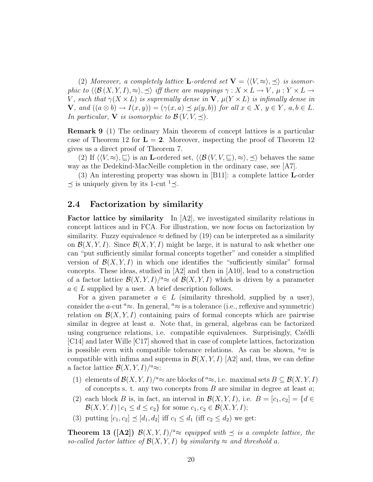(2) Moreover, a completely lattice **L**-ordered set  $V = \langle V, \approx \rangle, \preceq \rangle$  is isomorphic to  $\langle \mathcal{B}(X, Y, I), \approx \rangle$ ,  $\preceq$  iff there are mappings  $\gamma : X \times L \to V$ ,  $\mu : Y \times L \to$ V, such that  $\gamma(X \times L)$  is supremally dense in  $V$ ,  $\mu(Y \times L)$  is infimally dense in  $\mathbf{V}, \text{ and } ((a \otimes b) \rightarrow I(x, y)) = (\gamma(x, a) \preceq \mu(y, b)) \text{ for all } x \in X, y \in Y, a, b \in L.$ In particular, **V** is isomorphic to  $\mathcal{B}(V, V, \preceq)$ .

Remark 9 (1) The ordinary Main theorem of concept lattices is a particular case of Theorem 12 for  $\mathbf{L} = 2$ . Moreover, inspecting the proof of Theorem 12 gives us a direct proof of Theorem 7.

(2) If  $\langle V, \approx \rangle, \subseteq \rangle$  is an L-ordered set,  $\langle \langle \mathcal{B}(V, V, \subseteq), \approx \rangle, \preceq \rangle$  behaves the same way as the Dedekind-MacNeille completion in the ordinary case, see [A7].

(3) An interesting property was shown in [B11]: a complete lattice L-order  $\preceq$  is uniquely given by its 1-cut <sup>1</sup> $\preceq$ .

#### 2.4 Factorization by similarity

Factor lattice by similarity In [A2], we investigated similarity relations in concept lattices and in FCA. For illustration, we now focus on factorization by similarity. Fuzzy equivalence  $\approx$  defined by (19) can be interpreted as a similarity on  $\mathcal{B}(X, Y, I)$ . Since  $\mathcal{B}(X, Y, I)$  might be large, it is natural to ask whether one can "put sufficiently similar formal concepts together" and consider a simplified version of  $\mathcal{B}(X, Y, I)$  in which one identifies the "sufficiently similar" formal concepts. These ideas, studied in [A2] and then in [A10], lead to a construction of a factor lattice  $\mathcal{B}(X, Y, I)/^a \approx$  of  $\mathcal{B}(X, Y, I)$  which is driven by a parameter  $a \in L$  supplied by a user. A brief description follows.

For a given parameter  $a \in L$  (similarity threshold, supplied by a user), consider the a-cut <sup> $a \approx$ </sup>. In general,  $a \approx$  is a tolerance (i.e., reflexive and symmetric) relation on  $\mathcal{B}(X, Y, I)$  containing pairs of formal concepts which are pairwise similar in degree at least a. Note that, in general, algebras can be factorized using congruence relations, i.e. compatible equivalences. Surprisingly, Czédli [C14] and later Wille [C17] showed that in case of complete lattices, factorization is possible even with compatible tolerance relations. As can be shown,  $\alpha \approx$  is compatible with infima and suprema in  $\mathcal{B}(X, Y, I)$  [A2] and, thus, we can define a factor lattice  $\mathcal{B}(X,Y,I)/^a \approx$ :

- (1) elements of  $\mathcal{B}(X, Y, I)/^a \approx$  are blocks of  $^a \approx$ , i.e. maximal sets  $B \subseteq \mathcal{B}(X, Y, I)$ of concepts s. t. any two concepts from  $B$  are similar in degree at least  $a$ ;
- (2) each block B is, in fact, an interval in  $\mathcal{B}(X, Y, I)$ , i.e.  $B = [c_1, c_2] = \{d \in$  $\mathcal{B}(X, Y, I) | c_1 \leq d \leq c_2$  for some  $c_1, c_2 \in \mathcal{B}(X, Y, I);$
- (3) putting  $[c_1, c_2] \preceq [d_1, d_2]$  iff  $c_1 \leq d_1$  (iff  $c_2 \leq d_2$ ) we get:

**Theorem 13 ([A2])**  $\mathcal{B}(X, Y, I)/^a \approx$  equipped with  $\preceq$  is a complete lattice, the so-called factor lattice of  $\mathcal{B}(X, Y, I)$  by similarity  $\approx$  and threshold a.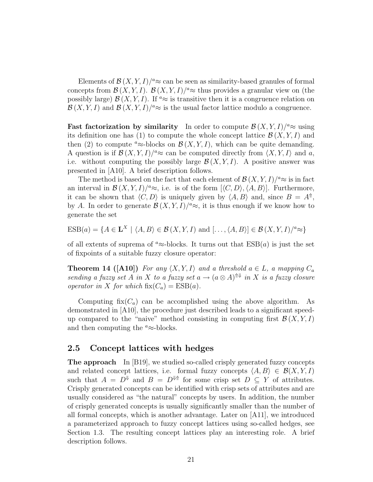Elements of  $\mathcal{B}(X, Y, I)/^a \approx$  can be seen as similarity-based granules of formal concepts from  $\mathcal{B}(X, Y, I)$ .  $\mathcal{B}(X, Y, I)/^a \approx$  thus provides a granular view on (the possibly large)  $\mathcal{B}(X, Y, I)$ . If <sup>a</sup> $\approx$  is transitive then it is a congruence relation on  $\mathcal{B}(X, Y, I)$  and  $\mathcal{B}(X, Y, I)/^a \approx$  is the usual factor lattice modulo a congruence.

**Fast factorization by similarity** In order to compute  $\mathcal{B}(X, Y, I)/^a \approx$  using its definition one has (1) to compute the whole concept lattice  $\mathcal{B}(X, Y, I)$  and then (2) to compute <sup>a</sup>≈-blocks on  $\mathcal{B}(X, Y, I)$ , which can be quite demanding. A question is if  $\mathcal{B}(X, Y, I)/^a \approx$  can be computed directly from  $\langle X, Y, I \rangle$  and a, i.e. without computing the possibly large  $\mathcal{B}(X, Y, I)$ . A positive answer was presented in [A10]. A brief description follows.

The method is based on the fact that each element of  $\mathcal{B}(X, Y, I)/^a \approx \infty$  is in fact an interval in  $\mathcal{B}(X, Y, I)/^a \approx$ , i.e. is of the form  $[\langle C, D \rangle, \langle A, B \rangle]$ . Furthermore, it can be shown that  $\langle C, D \rangle$  is uniquely given by  $\langle A, B \rangle$  and, since  $B = A^{\dagger}$ , by A. In order to generate  $\mathcal{B}(X, Y, I)/^a \approx$ , it is thus enough if we know how to generate the set

$$
ESB(a) = \{ A \in \mathbf{L}^X \mid \langle A, B \rangle \in \mathcal{B}(X, Y, I) \text{ and } [\dots, \langle A, B \rangle] \in \mathcal{B}(X, Y, I) / \alpha \approx \}
$$

of all extents of suprema of <sup>a</sup>≈-blocks. It turns out that  $ESB(a)$  is just the set of fixpoints of a suitable fuzzy closure operator:

**Theorem 14 ([A10])** For any  $\langle X, Y, I \rangle$  and a threshold  $a \in L$ , a mapping  $C_a$ sending a fuzzy set A in X to a fuzzy set  $a \to (a \otimes A)^{\wedge \Downarrow}$  in X is a fuzzy closure operator in X for which  $fix(C_a) = ESB(a)$ .

Computing  $fix(C_a)$  can be accomplished using the above algorithm. As demonstrated in [A10], the procedure just described leads to a significant speedup compared to the "naive" method consisting in computing first  $\mathcal{B}(X, Y, I)$ and then computing the  $a \approx$ -blocks.

### 2.5 Concept lattices with hedges

**The approach** In [B19], we studied so-called crisply generated fuzzy concepts and related concept lattices, i.e. formal fuzzy concepts  $\langle A, B \rangle \in \mathcal{B}(X, Y, I)$ such that  $A = D^{\psi}$  and  $B = D^{\psi}$  for some crisp set  $D \subseteq Y$  of attributes. Crisply generated concepts can be identified with crisp sets of attributes and are usually considered as "the natural" concepts by users. In addition, the number of crisply generated concepts is usually significantly smaller than the number of all formal concepts, which is another advantage. Later on [A11], we introduced a parameterized approach to fuzzy concept lattices using so-called hedges, see Section 1.3. The resulting concept lattices play an interesting role. A brief description follows.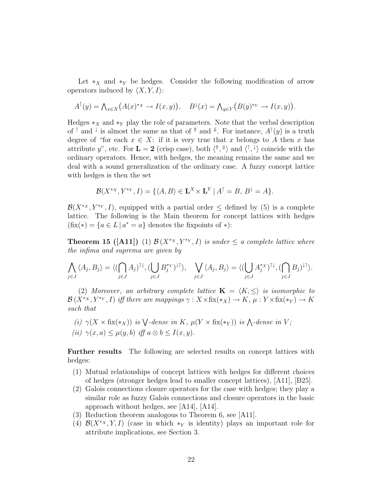Let  $*_X$  and  $*_Y$  be hedges. Consider the following modification of arrow operators induced by  $\langle X, Y, I \rangle$ :

$$
A^{\dagger}(y) = \bigwedge_{x \in X} \big( A(x)^{*x} \to I(x, y) \big), \quad B^{\downarrow}(x) = \bigwedge_{y \in Y} \big( B(y)^{*y} \to I(x, y) \big).
$$

Hedges  $*_X$  and  $*_Y$  play the role of parameters. Note that the verbal description of  $\uparrow$  and  $\downarrow$  is almost the same as that of  $\uparrow$  and  $\downarrow$ . For instance,  $A^{\uparrow}(y)$  is a truth degree of "for each  $x \in X$ : if it is very true that x belongs to A then x has attribute y", etc. For  $\mathbf{L} = 2$  (crisp case), both  $\langle \hat{\mathbf{r}}, \hat{\mathbf{v}} \rangle$  and  $\langle \hat{\mathbf{r}}, \hat{\mathbf{v}} \rangle$  coincide with the ordinary operators. Hence, with hedges, the meaning remains the same and we deal with a sound generalization of the ordinary case. A fuzzy concept lattice with hedges is then the set

$$
\mathcal{B}(X^{*X}, Y^{*Y}, I) = \{ \langle A, B \rangle \in \mathbf{L}^{X} \times \mathbf{L}^{Y} | A^{\uparrow} = B, B^{\downarrow} = A \}.
$$

 $\mathcal{B}(X^{*_{X}}, Y^{*_{Y}}, I)$ , equipped with a partial order  $\leq$  defined by (5) is a complete lattice. The following is the Main theorem for concept lattices with hedges  $(fix(*) = \{a \in L \mid a^* = a\}$  denotes the fixpoints of \*):

**Theorem 15 ([A11])** (1)  $\mathcal{B}(X^{*_{X}}, Y^{*_{Y}}, I)$  is under  $\leq a$  complete lattice where the infima and suprema are given by

$$
\bigwedge_{j\in J}\langle A_j, B_j\rangle = \langle (\bigcap_{j\in J}A_j)^{\uparrow\downarrow}, (\bigcup_{j\in J}B_j^{*Y})^{\downarrow\uparrow}\rangle, \quad \bigvee_{j\in J}\langle A_j, B_j\rangle = \langle (\bigcup_{j\in J}A_j^{*X})^{\uparrow\downarrow}, (\bigcap_{j\in J}B_j)^{\downarrow\uparrow}\rangle.
$$

(2) Moreover, an arbitrary complete lattice  $\mathbf{K} = \langle K, \leq \rangle$  is isomorphic to  $\mathcal{B}(X^{*_{X}}, Y^{*_{Y}}, I)$  iff there are mappings  $\gamma: X \times \text{fix}(*_{X}) \to K$ ,  $\mu: Y \times \text{fix}(*_{Y}) \to K$ such that

(i)  $\gamma(X \times \text{fix}(*_X))$  is  $\bigvee$ -dense in K,  $\mu(Y \times \text{fix}(*_Y))$  is  $\bigwedge$ -dense in V; (ii)  $\gamma(x, a) \leq \mu(y, b)$  iff  $a \otimes b \leq I(x, y)$ .

Further results The following are selected results on concept lattices with hedges:

- (1) Mutual relationships of concept lattices with hedges for different choices of hedges (stronger hedges lead to smaller concept lattices), [A11], [B25].
- (2) Galois connections closure operators for the case with hedges; they play a similar role as fuzzy Galois connections and closure operators in the basic approach without hedges, see [A14], [A14].
- (3) Reduction theorem analogous to Theorem 6, see [A11].
- (4)  $\mathcal{B}(X^{*_{X}}, Y, I)$  (case in which  $*_{Y}$  is identity) plays an important role for attribute implications, see Section 3.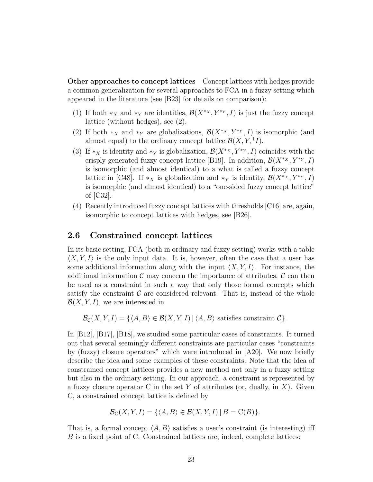Other approaches to concept lattices Concept lattices with hedges provide a common generalization for several approaches to FCA in a fuzzy setting which appeared in the literature (see [B23] for details on comparison):

- (1) If both  $*_X$  and  $*_Y$  are identities,  $\mathcal{B}(X^{*X}, Y^{*Y}, I)$  is just the fuzzy concept lattice (without hedges), see (2).
- (2) If both  $*_X$  and  $*_Y$  are globalizations,  $\mathcal{B}(X^{*_X}, Y^{*_Y}, I)$  is isomorphic (and almost equal) to the ordinary concept lattice  $\mathcal{B}(X, Y, \mathbf{1}_I)$ .
- (3) If  $*_X$  is identity and  $*_Y$  is globalization,  $\mathcal{B}(X^{*X}, Y^{*Y}, I)$  coincides with the crisply generated fuzzy concept lattice [B19]. In addition,  $\mathcal{B}(X^{*_{X}}, Y^{*_{Y}}, I)$ is isomorphic (and almost identical) to a what is called a fuzzy concept lattice in [C48]. If  $*_X$  is globalization and  $*_Y$  is identity,  $\mathcal{B}(X^{*_X}, Y^{*_Y}, I)$ is isomorphic (and almost identical) to a "one-sided fuzzy concept lattice" of [C32].
- (4) Recently introduced fuzzy concept lattices with thresholds [C16] are, again, isomorphic to concept lattices with hedges, see [B26].

### 2.6 Constrained concept lattices

In its basic setting, FCA (both in ordinary and fuzzy setting) works with a table  $\langle X, Y, I \rangle$  is the only input data. It is, however, often the case that a user has some additional information along with the input  $\langle X, Y, I \rangle$ . For instance, the additional information  $\mathcal C$  may concern the importance of attributes.  $\mathcal C$  can then be used as a constraint in such a way that only those formal concepts which satisfy the constraint  $\mathcal C$  are considered relevant. That is, instead of the whole  $\mathcal{B}(X, Y, I)$ , we are interested in

 $\mathcal{B}_{\mathcal{C}}(X, Y, I) = \{ \langle A, B \rangle \in \mathcal{B}(X, Y, I) | \langle A, B \rangle \text{ satisfies constraint } C \}.$ 

In [B12], [B17], [B18], we studied some particular cases of constraints. It turned out that several seemingly different constraints are particular cases "constraints by (fuzzy) closure operators" which were introduced in [A20]. We now briefly describe the idea and some examples of these constraints. Note that the idea of constrained concept lattices provides a new method not only in a fuzzy setting but also in the ordinary setting. In our approach, a constraint is represented by a fuzzy closure operator C in the set Y of attributes (or, dually, in X). Given C, a constrained concept lattice is defined by

$$
\mathcal{B}_C(X, Y, I) = \{ \langle A, B \rangle \in \mathcal{B}(X, Y, I) \, | \, B = C(B) \}.
$$

That is, a formal concept  $\langle A, B \rangle$  satisfies a user's constraint (is interesting) iff B is a fixed point of C. Constrained lattices are, indeed, complete lattices: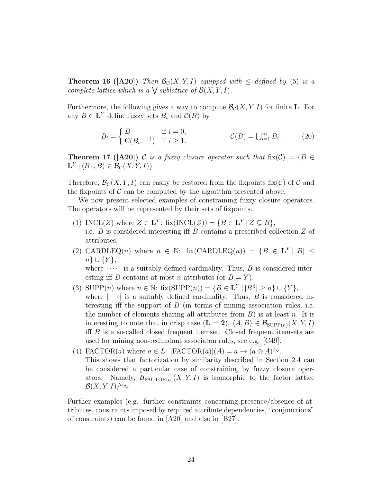**Theorem 16 ([A20])** Then  $\mathcal{B}_C(X, Y, I)$  equipped with  $\leq$  defined by (5) is a complete lattice which is a  $\bigvee$ -sublattice of  $\mathcal{B}(X, Y, I)$ .

Furthermore, the following gives a way to compute  $\mathcal{B}_{\mathcal{C}}(X, Y, I)$  for finite **L**: For any  $B \in \mathbf{L}^{Y}$  define fuzzy sets  $B_i$  and  $\mathcal{C}(B)$  by

$$
B_i = \begin{cases} B & \text{if } i = 0, \\ C(B_{i-1} \text{ and } j \text{ if } i \ge 1. \end{cases} \qquad C(B) = \bigcup_{i=1}^{\infty} B_i. \qquad (20)
$$

**Theorem 17 ([A20])** C is a fuzzy closure operator such that  $fix(\mathcal{C}) = \{B \in$  $\mathbf{L}^Y | \langle B^\Downarrow, B \rangle \in \mathcal{B}_\mathrm{C}(X, Y, I) \}.$ 

Therefore,  $\mathcal{B}_{\text{C}}(X, Y, I)$  can easily be restored from the fixpoints fix(C) of C and the fixpoints of  $\mathcal C$  can be computed by the algorithm presented above.

We now present selected examples of constraining fuzzy closure operators. The operators will be represented by their sets of fixpoints.

- (1) INCL(Z) where  $Z \in L^Y$ : fix(INCL(Z)) = { $B \in L^Y | Z \subseteq B$ }, i.e.  $B$  is considered interesting iff  $B$  contains a prescribed collection  $Z$  of attributes.
- (2) CARDLEQ(n) where  $n \in \mathbb{N}$ : fix(CARDLEQ(n)) = { $B \in \mathbf{L}^{Y} | |B| \le$  $n\} \cup \{Y\},\$

where  $|\cdots|$  is a suitably defined cardinality. Thus, B is considered interesting iff B contains at most n attributes (or  $B = Y$ ).

- (3) SUPP(*n*) where  $n \in \mathbb{N}$ : fix(SUPP(*n*)) = { $B \in \mathbf{L}^Y \mid |B^{\Downarrow}| \ge n$  }  $\cup$  { $Y$ }, where  $|\cdots|$  is a suitably defined cardinality. Thus, B is considered interesting iff the support of  $B$  (in terms of mining association rules, i.e. the number of elements sharing all attributes from  $B$ ) is at least n. It is interesting to note that in crisp case  $(\mathbf{L} = 2)$ ,  $\langle A, B \rangle \in \mathcal{B}_{\text{SUPP}(n)}(X, Y, I)$ iff B is a so-called closed frequent itemset. Closed frequent itemsets are used for mining non-redundant associaton rules, see e.g. [C49].
- (4) FACTOR(*a*) where  $a \in L$ : [FACTOR(*a*)](*A*) =  $a \rightarrow (a \otimes A)^{\uparrow\downarrow}$ . This shows that factorization by similarity described in Section 2.4 can be considered a particular case of constraining by fuzzy closure operators. Namely,  $\mathcal{B}_{\text{FACTOR}(a)}(X, Y, I)$  is isomorphic to the factor lattice  $\mathcal{B}(X, Y, I)/^a \approx$ .

Further examples (e.g. further constraints concerning presence/absence of attributes, constraints imposed by required attribute dependencies, "conjunctions" of constraints) can be found in [A20] and also in [B27].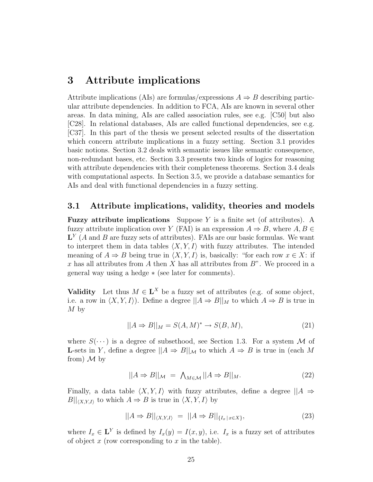## 3 Attribute implications

Attribute implications (AIs) are formulas/expressions  $A \Rightarrow B$  describing particular attribute dependencies. In addition to FCA, AIs are known in several other areas. In data mining, AIs are called association rules, see e.g. [C50] but also [C28]. In relational databases, AIs are called functional dependencies, see e.g. [C37]. In this part of the thesis we present selected results of the dissertation which concern attribute implications in a fuzzy setting. Section 3.1 provides basic notions. Section 3.2 deals with semantic issues like semantic consequence, non-redundant bases, etc. Section 3.3 presents two kinds of logics for reasoning with attribute dependencies with their completeness theorems. Section 3.4 deals with computational aspects. In Section 3.5, we provide a database semantics for AIs and deal with functional dependencies in a fuzzy setting.

#### 3.1 Attribute implications, validity, theories and models

**Fuzzy attribute implications** Suppose Y is a finite set (of attributes). A fuzzy attribute implication over Y (FAI) is an expression  $A \Rightarrow B$ , where  $A, B \in$  $\mathbf{L}^{Y}$  (A and B are fuzzy sets of attributes). FAIs are our basic formulas. We want to interpret them in data tables  $\langle X, Y, I \rangle$  with fuzzy attributes. The intended meaning of  $A \Rightarrow B$  being true in  $\langle X, Y, I \rangle$  is, basically: "for each row  $x \in X$ : if x has all attributes from A then X has all attributes from  $B$ ". We proceed in a general way using a hedge ∗ (see later for comments).

**Validity** Let thus  $M \in \mathbf{L}^X$  be a fuzzy set of attributes (e.g. of some object, i.e. a row in  $\langle X, Y, I \rangle$ . Define a degree  $||A \Rightarrow B||_M$  to which  $A \Rightarrow B$  is true in  $M<sub>by</sub>$ 

$$
||A \Rightarrow B||_M = S(A, M)^* \to S(B, M), \tag{21}
$$

where  $S(\cdots)$  is a degree of subsethood, see Section 1.3. For a system M of **L**-sets in Y, define a degree  $||A \Rightarrow B||_{\mathcal{M}}$  to which  $A \Rightarrow B$  is true in (each M from)  $\mathcal M$  by

$$
||A \Rightarrow B||_{\mathcal{M}} = \bigwedge_{M \in \mathcal{M}} ||A \Rightarrow B||_{M}.
$$
 (22)

Finally, a data table  $\langle X, Y, I \rangle$  with fuzzy attributes, define a degree  $||A \Rightarrow$  $B||_{\langle X, Y, I \rangle}$  to which  $A \Rightarrow B$  is true in  $\langle X, Y, I \rangle$  by

$$
||A \Rightarrow B||_{\langle X, Y, I \rangle} = ||A \Rightarrow B||_{\{I_x \mid x \in X\}}, \tag{23}
$$

where  $I_x \in \mathbf{L}^Y$  is defined by  $I_x(y) = I(x, y)$ , i.e.  $I_x$  is a fuzzy set of attributes of object  $x$  (row corresponding to  $x$  in the table).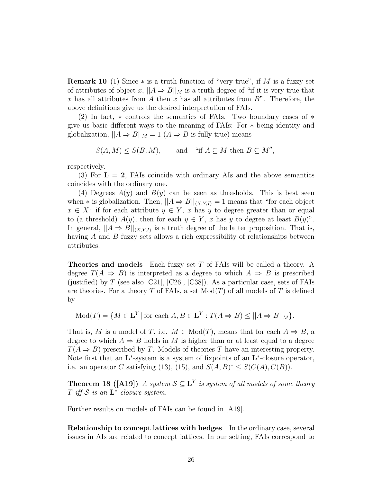**Remark 10** (1) Since  $*$  is a truth function of "very true", if M is a fuzzy set of attributes of object x,  $||A \Rightarrow B||_M$  is a truth degree of "if it is very true that x has all attributes from A then x has all attributes from  $B$ ". Therefore, the above definitions give us the desired interpretation of FAIs.

(2) In fact, ∗ controls the semantics of FAIs. Two boundary cases of ∗ give us basic different ways to the meaning of FAIs: For ∗ being identity and globalization,  $||A \Rightarrow B||_M = 1$   $(A \Rightarrow B$  is fully true) means

$$
S(A, M) \le S(B, M), \qquad \text{and} \quad \text{``if } A \subseteq M \text{ then } B \subseteq M'',
$$

respectively.

(3) For  $\mathbf{L} = 2$ , FAIs coincide with ordinary AIs and the above semantics coincides with the ordinary one.

(4) Degrees  $A(y)$  and  $B(y)$  can be seen as thresholds. This is best seen when  $*$  is globalization. Then,  $||A \Rightarrow B||_{\langle X, Y, I \rangle} = 1$  means that "for each object"  $x \in X$ : if for each attribute  $y \in Y$ , x has y to degree greater than or equal to (a threshold)  $A(y)$ , then for each  $y \in Y$ , x has y to degree at least  $B(y)$ ". In general,  $||A \Rightarrow B||_{\langle X, Y, I \rangle}$  is a truth degree of the latter proposition. That is, having  $A$  and  $B$  fuzzy sets allows a rich expressibility of relationships between attributes.

**Theories and models** Each fuzzy set T of FAIs will be called a theory. A degree  $T(A \Rightarrow B)$  is interpreted as a degree to which  $A \Rightarrow B$  is prescribed (justified) by T (see also [C21], [C26], [C38]). As a particular case, sets of FAIs are theories. For a theory T of FAIs, a set  $Mod(T)$  of all models of T is defined by

$$
Mod(T) = \{ M \in \mathbf{L}^{Y} \mid \text{for each } A, B \in \mathbf{L}^{Y} : T(A \Rightarrow B) \le ||A \Rightarrow B||_{M} \}.
$$

That is, M is a model of T, i.e.  $M \in Mod(T)$ , means that for each  $A \Rightarrow B$ , a degree to which  $A \Rightarrow B$  holds in M is higher than or at least equal to a degree  $T(A \Rightarrow B)$  prescribed by T. Models of theories T have an interesting property. Note first that an  $L^*$ -system is a system of fixpoints of an  $L^*$ -closure operator, i.e. an operator C satisfying (13), (15), and  $S(A, B)^* \leq S(C(A), C(B))$ .

**Theorem 18** ([A19]) A system  $S \subseteq L^Y$  is system of all models of some theory T iff  $S$  is an  $L^*$ -closure system.

Further results on models of FAIs can be found in [A19].

Relationship to concept lattices with hedges In the ordinary case, several issues in AIs are related to concept lattices. In our setting, FAIs correspond to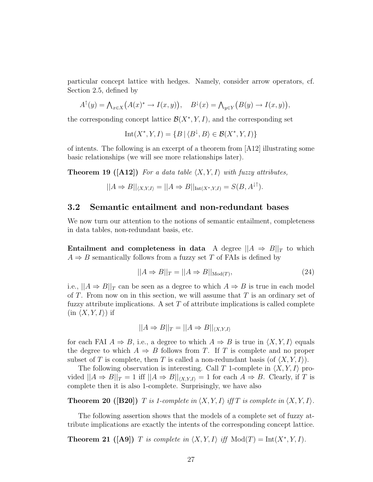particular concept lattice with hedges. Namely, consider arrow operators, cf. Section 2.5, defined by

$$
A^{\dagger}(y) = \bigwedge_{x \in X} \big( A(x)^{*} \to I(x, y) \big), \quad B^{\downarrow}(x) = \bigwedge_{y \in Y} \big( B(y) \to I(x, y) \big),
$$

the corresponding concept lattice  $\mathcal{B}(X^*,Y,I)$ , and the corresponding set

$$
Int(X^*,Y,I) = \{ B \mid \langle B^\downarrow, B \rangle \in \mathcal{B}(X^*,Y,I) \}
$$

of intents. The following is an excerpt of a theorem from [A12] illustrating some basic relationships (we will see more relationships later).

**Theorem 19 ([A12])** For a data table  $\langle X, Y, I \rangle$  with fuzzy attributes,

$$
||A \Rightarrow B||_{\langle X, Y, I \rangle} = ||A \Rightarrow B||_{\text{Int}(X^*, Y, I)} = S(B, A^{\downarrow \uparrow}).
$$

#### 3.2 Semantic entailment and non-redundant bases

We now turn our attention to the notions of semantic entailment, completeness in data tables, non-redundant basis, etc.

Entailment and completeness in data A degree  $||A \Rightarrow B||_T$  to which  $A \Rightarrow B$  semantically follows from a fuzzy set T of FAIs is defined by

$$
||A \Rightarrow B||_T = ||A \Rightarrow B||_{\text{Mod}(T)},\tag{24}
$$

i.e.,  $||A \Rightarrow B||_T$  can be seen as a degree to which  $A \Rightarrow B$  is true in each model of T. From now on in this section, we will assume that  $T$  is an ordinary set of fuzzy attribute implications. A set  $T$  of attribute implications is called complete  $(in \langle X, Y, I \rangle)$  if

$$
||A \Rightarrow B||_T = ||A \Rightarrow B||_{\langle X, Y, I \rangle}
$$

for each FAI  $A \Rightarrow B$ , i.e., a degree to which  $A \Rightarrow B$  is true in  $\langle X, Y, I \rangle$  equals the degree to which  $A \Rightarrow B$  follows from T. If T is complete and no proper subset of T is complete, then T is called a non-redundant basis (of  $\langle X, Y, I \rangle$ ).

The following observation is interesting. Call T 1-complete in  $\langle X, Y, I \rangle$  provided  $||A \Rightarrow B||_T = 1$  iff  $||A \Rightarrow B||_{\langle X, Y, I \rangle} = 1$  for each  $A \Rightarrow B$ . Clearly, if T is complete then it is also 1-complete. Surprisingly, we have also

**Theorem 20** ([B20]) T is 1-complete in  $\langle X, Y, I \rangle$  if T is complete in  $\langle X, Y, I \rangle$ .

The following assertion shows that the models of a complete set of fuzzy attribute implications are exactly the intents of the corresponding concept lattice.

**Theorem 21** ([A9]) T is complete in  $\langle X, Y, I \rangle$  iff  $Mod(T) = Int(X^*, Y, I)$ .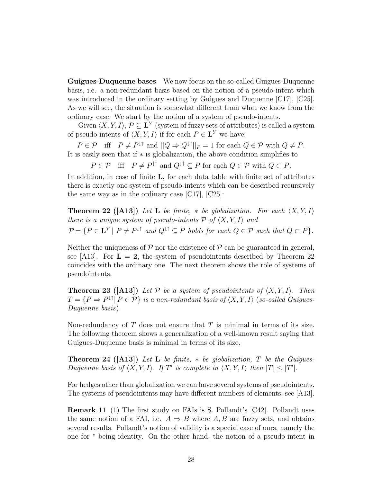Guigues-Duquenne bases We now focus on the so-called Guigues-Duquenne basis, i.e. a non-redundant basis based on the notion of a pseudo-intent which was introduced in the ordinary setting by Guigues and Duquenne  $\lfloor C17 \rfloor$ ,  $\lfloor C25 \rfloor$ . As we will see, the situation is somewhat different from what we know from the ordinary case. We start by the notion of a system of pseudo-intents.

Given  $\langle X, Y, I \rangle$ ,  $\mathcal{P} \subseteq \mathbf{L}^Y$  (system of fuzzy sets of attributes) is called a system of pseudo-intents of  $\langle X, Y, I \rangle$  if for each  $P \in L^Y$  we have:

 $P \in \mathcal{P}$  iff  $P \neq P^{\downarrow\uparrow}$  and  $||Q \Rightarrow Q^{\downarrow\uparrow}||_P = 1$  for each  $Q \in \mathcal{P}$  with  $Q \neq P$ . It is easily seen that if ∗ is globalization, the above condition simplifies to

 $P \in \mathcal{P}$  iff  $P \neq P^{\downarrow\uparrow}$  and  $Q^{\downarrow\uparrow} \subseteq P$  for each  $Q \in \mathcal{P}$  with  $Q \subset P$ .

In addition, in case of finite L, for each data table with finite set of attributes there is exactly one system of pseudo-intents which can be described recursively the same way as in the ordinary case [C17], [C25]:

**Theorem 22** ([A13]) Let L be finite,  $*$  be globalization. For each  $\langle X, Y, I \rangle$ there is a unique system of pseudo-intents  $P$  of  $\langle X, Y, I \rangle$  and  $\mathcal{P} = \{P \in \mathbf{L}^Y \mid P \neq P^{\downarrow \uparrow} \text{ and } Q^{\downarrow \uparrow} \subseteq P \text{ holds for each } Q \in \mathcal{P} \text{ such that } Q \subset P\}.$ 

Neither the uniqueness of  $P$  nor the existence of  $P$  can be guaranteed in general, see [A13]. For  $\mathbf{L} = 2$ , the system of pseudointents described by Theorem 22 coincides with the ordinary one. The next theorem shows the role of systems of pseudointents.

**Theorem 23 ([A13])** Let P be a system of pseudointents of  $\langle X, Y, I \rangle$ . Then  $T = \{P \Rightarrow P^{\downarrow\uparrow} | P \in \mathcal{P}\}\$ is a non-redundant basis of  $\langle X, Y, I \rangle$  (so-called Guigues-Duquenne basis).

Non-redundancy of  $T$  does not ensure that  $T$  is minimal in terms of its size. The following theorem shows a generalization of a well-known result saying that Guigues-Duquenne basis is minimal in terms of its size.

**Theorem 24 ([A13])** Let L be finite,  $*$  be globalization, T be the Guigues-Duquenne basis of  $\langle X, Y, I \rangle$ . If T' is complete in  $\langle X, Y, I \rangle$  then  $|T| \leq |T'|$ .

For hedges other than globalization we can have several systems of pseudointents. The systems of pseudointents may have different numbers of elements, see [A13].

Remark 11 (1) The first study on FAIs is S. Pollandt's [C42]. Pollandt uses the same notion of a FAI, i.e.  $A \Rightarrow B$  where A, B are fuzzy sets, and obtains several results. Pollandt's notion of validity is a special case of ours, namely the one for <sup>∗</sup> being identity. On the other hand, the notion of a pseudo-intent in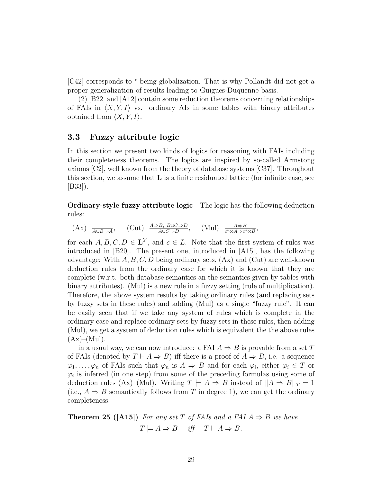[C42] corresponds to <sup>∗</sup> being globalization. That is why Pollandt did not get a proper generalization of results leading to Guigues-Duquenne basis.

(2) [B22] and [A12] contain some reduction theorems concerning relationships of FAIs in  $\langle X, Y, I \rangle$  vs. ordinary AIs in some tables with binary attributes obtained from  $\langle X, Y, I \rangle$ .

### 3.3 Fuzzy attribute logic

In this section we present two kinds of logics for reasoning with FAIs including their completeness theorems. The logics are inspired by so-called Armstong axioms [C2], well known from the theory of database systems [C37]. Throughout this section, we assume that  $L$  is a finite residuated lattice (for infinite case, see [B33]).

Ordinary-style fuzzy attribute logic The logic has the following deduction rules:

$$
\text{(Ax)} \ \overline{\mathop{\rm Aut}\nolimits}_{A\cup B\Rightarrow A}, \quad \text{(Cut)} \ \overline{\mathop{\rm Aut}\nolimits}_{A\cup C\Rightarrow D}, \quad \text{(Mul)} \ \overline{\mathop{\rm c}}^{\mathop{\rm A}\Rightarrow \mathop{\rm B}\nolimits}_{c^*\otimes A\Rightarrow c^*\otimes B},
$$

for each  $A, B, C, D \in L^Y$ , and  $c \in L$ . Note that the first system of rules was introduced in [B20]. The present one, introduced in [A15], has the following advantage: With  $A, B, C, D$  being ordinary sets,  $(Ax)$  and  $(Cut)$  are well-known deduction rules from the ordinary case for which it is known that they are complete (w.r.t. both database semantics an the semantics given by tables with binary attributes). (Mul) is a new rule in a fuzzy setting (rule of multiplication). Therefore, the above system results by taking ordinary rules (and replacing sets by fuzzy sets in these rules) and adding (Mul) as a single "fuzzy rule". It can be easily seen that if we take any system of rules which is complete in the ordinary case and replace ordinary sets by fuzzy sets in these rules, then adding (Mul), we get a system of deduction rules which is equivalent the the above rules  $(Ax)–(Mul).$ 

in a usual way, we can now introduce: a FAI  $A \Rightarrow B$  is provable from a set T of FAIs (denoted by  $T \vdash A \Rightarrow B$ ) iff there is a proof of  $A \Rightarrow B$ , i.e. a sequence  $\varphi_1, \ldots, \varphi_n$  of FAIs such that  $\varphi_n$  is  $A \Rightarrow B$  and for each  $\varphi_i$ , either  $\varphi_i \in T$  or  $\varphi_i$  is inferred (in one step) from some of the preceding formulas using some of deduction rules (Ax)–(Mul). Writing  $T \models A \Rightarrow B$  instead of  $||A \Rightarrow B||_T = 1$ (i.e.,  $A \Rightarrow B$  semantically follows from T in degree 1), we can get the ordinary completeness:

**Theorem 25 ([A15])** For any set T of FAIs and a FAI  $A \Rightarrow B$  we have  $T \models A \Rightarrow B$  iff  $T \vdash A \Rightarrow B$ .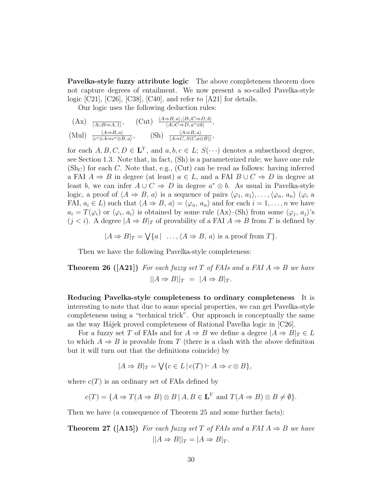Pavelka-style fuzzy attribute logic The above completeness theorem does not capture degrees of entailment. We now present a so-called Pavelka-style logic [C21], [C26], [C38], [C40], and refer to [A21] for details.

Our logic uses the following deduction rules:

$$
\begin{array}{lll}\n\text{(Ax)} & \frac{\langle A \Rightarrow B, a \rangle, \langle B \cup C \Rightarrow D, b \rangle}{\langle A \cup B \Rightarrow A, 1 \rangle}, \\
\text{(Mul)} & \frac{\langle A \Rightarrow B, a \rangle}{\langle c^* \otimes A \Rightarrow c^* \otimes B, a \rangle}, \\
\text{(Sh)} & \frac{\langle A \Rightarrow B, a \rangle}{\langle A \Rightarrow C, S(C, a \otimes B) \rangle}, \\
\end{array}
$$

for each  $A, B, C, D \in L^Y$ , and  $a, b, c \in L$ ;  $S(\cdot \cdot \cdot)$  denotes a subsethood degree, see Section 1.3. Note that, in fact, (Sh) is a parameterized rule; we have one rule  $(\mathrm{Sh}_{\mathbb{C}})$  for each C. Note that, e.g., (Cut) can be read as follows: having inferred a FAI  $A \Rightarrow B$  in degree (at least)  $a \in L$ , and a FAI  $B \cup C \Rightarrow D$  in degree at least b, we can infer  $A \cup C \Rightarrow D$  in degree  $a^* \otimes b$ . As usual in Pavelka-style logic, a proof of  $\langle A \Rightarrow B, a \rangle$  is a sequence of pairs  $\langle \varphi_1, a_1 \rangle, \ldots, \langle \varphi_n, a_n \rangle$  ( $\varphi_i$  a FAI,  $a_i \in L$ ) such that  $\langle A \Rightarrow B, a \rangle = \langle \varphi_n, a_n \rangle$  and for each  $i = 1, \ldots, n$  we have  $a_i = T(\varphi_i)$  or  $\langle \varphi_i, a_i \rangle$  is obtained by some rule  $(Ax)$ –(Sh) from some  $\langle \varphi_j, a_j \rangle$ 's  $(j < i)$ . A degree  $|A \Rightarrow B|_T$  of provability of a FAI  $A \Rightarrow B$  from T is defined by

 $|A \Rightarrow B|_T = \bigvee \{a \mid \ldots, \langle A \Rightarrow B, a \rangle \text{ is a proof from } T\}.$ 

Then we have the following Pavelka-style completeness:

**Theorem 26** ([A21]) For each fuzzy set T of FAIs and a FAI  $A \Rightarrow B$  we have  $||A \Rightarrow B||_T = |A \Rightarrow B|_T.$ 

Reducing Pavelka-style completeness to ordinary completeness It is interesting to note that due to some special properties, we can get Pavelka-style completeness using a "technical trick". Our approach is conceptually the same as the way Hájek proved completeness of Rational Pavelka logic in  $[C26]$ .

For a fuzzy set T of FAIs and for  $A \Rightarrow B$  we define a degree  $|A \Rightarrow B|_T \in L$ to which  $A \Rightarrow B$  is provable from T (there is a clash with the above definition but it will turn out that the definitions coincide) by

$$
|A \Rightarrow B|_T = \bigvee \{c \in L \mid c(T) \vdash A \Rightarrow c \otimes B\},\
$$

where  $c(T)$  is an ordinary set of FAIs defined by

$$
c(T) = \{ A \Rightarrow T(A \Rightarrow B) \otimes B \mid A, B \in \mathbf{L}^Y \text{ and } T(A \Rightarrow B) \otimes B \neq \emptyset \}.
$$

Then we have (a consequence of Theorem 25 and some further facts):

**Theorem 27** ([A15]) For each fuzzy set T of FAIs and a FAI  $A \Rightarrow B$  we have  $||A \Rightarrow B||_T = |A \Rightarrow B|_T.$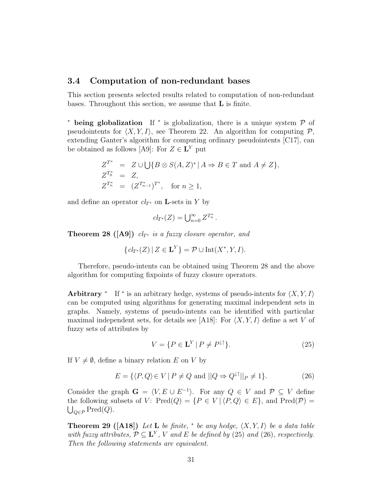#### 3.4 Computation of non-redundant bases

This section presents selected results related to computation of non-redundant bases. Throughout this section, we assume that L is finite.

\* being globalization If \* is globalization, there is a unique system  $\mathcal P$  of pseudointents for  $\langle X, Y, I \rangle$ , see Theorem 22. An algorithm for computing P, extending Ganter's algorithm for computing ordinary pseudointents [C17], can be obtained as follows [A9]: For  $Z \in L^Y$  put

$$
Z^{T^*} = Z \cup \bigcup \{ B \otimes S(A, Z)^* \mid A \Rightarrow B \in T \text{ and } A \neq Z \},
$$
  
\n
$$
Z^{T_0^*} = Z,
$$
  
\n
$$
Z^{T_n^*} = (Z^{T_{n-1}^*})^{T^*}, \text{ for } n \ge 1,
$$

and define an operator  $cl_{T^*}$  on **L**-sets in Y by

$$
cl_{T^*}(Z) = \bigcup_{n=0}^{\infty} Z^{T_n^*}.
$$

**Theorem 28 ([A9])**  $cl_{T^*}$  is a fuzzy closure operator, and

$$
\{cl_{T^*}(Z) \mid Z \in \mathbf{L}^Y\} = \mathcal{P} \cup \text{Int}(X^*, Y, I).
$$

Therefore, pseudo-intents can be obtained using Theorem 28 and the above algorithm for computing fixpoints of fuzzy closure operators.

Arbitrary <sup>\*</sup> If <sup>\*</sup> is an arbitrary hedge, systems of pseudo-intents for  $\langle X, Y, I \rangle$ can be computed using algorithms for generating maximal independent sets in graphs. Namely, systems of pseudo-intents can be identified with particular maximal independent sets, for details see [A18]: For  $\langle X, Y, I \rangle$  define a set V of fuzzy sets of attributes by

$$
V = \{ P \in \mathbf{L}^Y \mid P \neq P^{\downarrow \uparrow} \}. \tag{25}
$$

If  $V \neq \emptyset$ , define a binary relation E on V by

$$
E = \{ \langle P, Q \rangle \in V \mid P \neq Q \text{ and } ||Q \Rightarrow Q^{\downarrow\uparrow}||_P \neq 1 \}. \tag{26}
$$

Consider the graph  $G = \langle V, E \cup E^{-1} \rangle$ . For any  $Q \in V$  and  $P \subseteq V$  define the following subsets of V: Pred $(Q) = \{P \in V \mid \langle P, Q \rangle \in E\}$ , and Pred $(\mathcal{P})$  $\bigcup_{Q \in \mathcal{P}} \text{Pred}(Q).$ 

**Theorem 29** ([A18]) Let **L** be finite, \* be any hedge,  $\langle X, Y, I \rangle$  be a data table with fuzzy attributes,  $\mathcal{P} \subseteq \mathbf{L}^Y$ , V and E be defined by (25) and (26), respectively. Then the following statements are equivalent.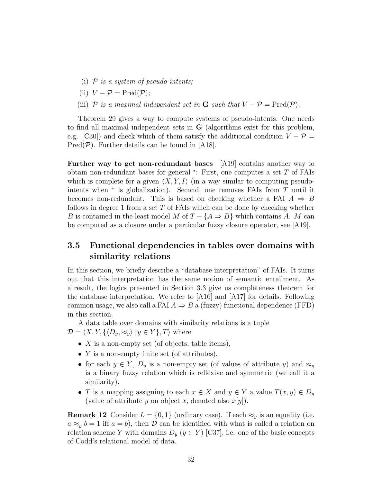- (i)  $P$  is a system of pseudo-intents;
- (ii)  $V P = \text{Pred}(\mathcal{P})$ ;
- (iii)  $\mathcal P$  is a maximal independent set in G such that  $V \mathcal P = \text{Pred}(\mathcal P)$ .

Theorem 29 gives a way to compute systems of pseudo-intents. One needs to find all maximal independent sets in G (algorithms exist for this problem, e.g. [C30]) and check which of them satisfy the additional condition  $V - P =$  $Pred(\mathcal{P})$ . Further details can be found in [A18].

Further way to get non-redundant bases [A19] contains another way to obtain non-redundant bases for general <sup>∗</sup> : First, one computes a set T of FAIs which is complete for a given  $\langle X, Y, I \rangle$  (in a way similar to computing pseudointents when  $*$  is globalization). Second, one removes FAIs from  $T$  until it becomes non-redundant. This is based on checking whether a FAI  $A \Rightarrow B$ follows in degree 1 from a set  $T$  of FAIs which can be done by checking whether B is contained in the least model M of  $T - \{A \Rightarrow B\}$  which contains A. M can be computed as a closure under a particular fuzzy closure operator, see [A19].

## 3.5 Functional dependencies in tables over domains with similarity relations

In this section, we briefly describe a "database interpretation" of FAIs. It turns out that this interpretation has the same notion of semantic entailment. As a result, the logics presented in Section 3.3 give us completeness theorem for the database interpretation. We refer to [A16] and [A17] for details. Following common usage, we also call a FAI  $A \Rightarrow B$  a (fuzzy) functional dependence (FFD) in this section.

A data table over domains with similarity relations is a tuple  $\mathcal{D} = \langle X, Y, \{\langle D_y, \approx_y \rangle | y \in Y\}, T \rangle$  where

- $X$  is a non-empty set (of objects, table items),
- $Y$  is a non-empty finite set (of attributes),
- for each  $y \in Y$ ,  $D_y$  is a non-empty set (of values of attribute y) and  $\approx_y$ is a binary fuzzy relation which is reflexive and symmetric (we call it a similarity),
- T is a mapping assigning to each  $x \in X$  and  $y \in Y$  a value  $T(x, y) \in D_y$ (value of attribute y on object x, denoted also  $x[y]$ ).

**Remark 12** Consider  $L = \{0, 1\}$  (ordinary case). If each  $\approx_y$  is an equality (i.e.  $a \approx_y b = 1$  iff  $a = b$ , then  $\mathcal{D}$  can be identified with what is called a relation on relation scheme Y with domains  $D_y$  ( $y \in Y$ ) [C37], i.e. one of the basic concepts of Codd's relational model of data.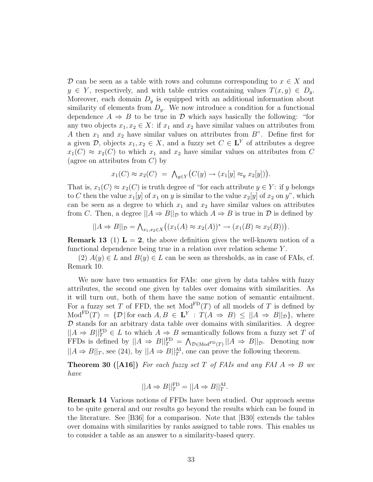D can be seen as a table with rows and columns corresponding to  $x \in X$  and  $y \in Y$ , respectively, and with table entries containing values  $T(x, y) \in D_y$ . Moreover, each domain  $D_y$  is equipped with an additional information about similarity of elements from  $D_y$ . We now introduce a condition for a functional dependence  $A \Rightarrow B$  to be true in  $D$  which says basically the following: "for any two objects  $x_1, x_2 \in X$ : if  $x_1$  and  $x_2$  have similar values on attributes from A then  $x_1$  and  $x_2$  have similar values on attributes from  $B$ ". Define first for a given  $\mathcal{D}$ , objects  $x_1, x_2 \in X$ , and a fuzzy set  $C \in \mathbf{L}^Y$  of attributes a degree  $x_1(C) \approx x_2(C)$  to which  $x_1$  and  $x_2$  have similar values on attributes from C (agree on attributes from  $C$ ) by

$$
x_1(C) \approx x_2(C) = \bigwedge_{y \in Y} (C(y) \to (x_1[y] \approx_y x_2[y]) \big).
$$

That is,  $x_1(C) \approx x_2(C)$  is truth degree of "for each attribute  $y \in Y$ : if y belongs to C then the value  $x_1[y]$  of  $x_1$  on y is similar to the value  $x_2[y]$  of  $x_2$  on y", which can be seen as a degree to which  $x_1$  and  $x_2$  have similar values on attributes from C. Then, a degree  $||A \Rightarrow B||_{\mathcal{D}}$  to which  $A \Rightarrow B$  is true in  $\mathcal D$  is defined by

$$
||A \Rightarrow B||_{\mathcal{D}} = \bigwedge_{x_1, x_2 \in X} \bigl( (x_1(A) \approx x_2(A))^* \to (x_1(B) \approx x_2(B)) \bigr).
$$

**Remark 13** (1)  $\mathbf{L} = 2$ , the above definition gives the well-known notion of a functional dependence being true in a relation over relation scheme Y .

 $(2)$   $A(y) \in L$  and  $B(y) \in L$  can be seen as thresholds, as in case of FAIs, cf. Remark 10.

We now have two semantics for FAIs: one given by data tables with fuzzy attributes, the second one given by tables over domains with similarities. As it will turn out, both of them have the same notion of semantic entailment. For a fuzzy set T of FFD, the set  $Mod<sup>FD</sup>(T)$  of all models of T is defined by  $\text{Mod}^{\text{FD}}(T) = \{ \mathcal{D} \mid \text{for each } A, B \in \mathbf{L}^Y : T(A \Rightarrow B) \leq ||A \Rightarrow B||_{\mathcal{D}} \}$ , where  $D$  stands for an arbitrary data table over domains with similarities. A degree  $||A \Rightarrow B||_T^{\text{FD}} \in L$  to which  $A \Rightarrow B$  semantically follows from a fuzzy set T of FFDs is defined by  $||A \Rightarrow B||_{T}^{\text{FD}} = \bigwedge_{\mathcal{D} \in \text{Mod}^{\text{FD}}(T)} ||A \Rightarrow B||_{\mathcal{D}}$ . Denoting now  $||A \Rightarrow B||_T$ , see (24), by  $||A \Rightarrow B||_T^{\text{AI}}$ , one can prove the following theorem.

**Theorem 30 ([A16])** For each fuzzy set T of FAIs and any FAI  $A \Rightarrow B$  we have

$$
||A \Rightarrow B||_T^{\text{FD}} = ||A \Rightarrow B||_T^{\text{AI}}.
$$

Remark 14 Various notions of FFDs have been studied. Our approach seems to be quite general and our results go beyond the results which can be found in the literature. See [B36] for a comparison. Note that [B30] extends the tables over domains with similarities by ranks assigned to table rows. This enables us to consider a table as an answer to a similarity-based query.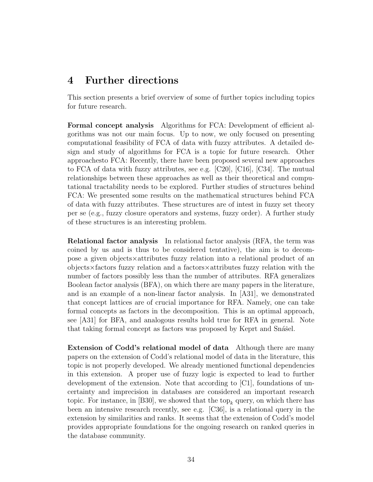## 4 Further directions

This section presents a brief overview of some of further topics including topics for future research.

Formal concept analysis Algorithms for FCA: Development of efficient algorithms was not our main focus. Up to now, we only focused on presenting computational feasibility of FCA of data with fuzzy attributes. A detailed design and study of algorithms for FCA is a topic for future research. Other approachesto FCA: Recently, there have been proposed several new approaches to FCA of data with fuzzy attributes, see e.g. [C20], [C16], [C34]. The mutual relationships between these approaches as well as their theoretical and computational tractability needs to be explored. Further studies of structures behind FCA: We presented some results on the mathematical structures behind FCA of data with fuzzy attributes. These structures are of intest in fuzzy set theory per se (e.g., fuzzy closure operators and systems, fuzzy order). A further study of these structures is an interesting problem.

Relational factor analysis In relational factor analysis (RFA, the term was coined by us and is thus to be considered tentative), the aim is to decompose a given objects×attributes fuzzy relation into a relational product of an objects×factors fuzzy relation and a factors×attributes fuzzy relation with the number of factors possibly less than the number of attributes. RFA generalizes Boolean factor analysis (BFA), on which there are many papers in the literature, and is an example of a non-linear factor analysis. In [A31], we demonstrated that concept lattices are of crucial importance for RFA. Namely, one can take formal concepts as factors in the decomposition. This is an optimal approach, see [A31] for BFA, and analogous results hold true for RFA in general. Note that taking formal concept as factors was proposed by Keprt and Snašel.

Extension of Codd's relational model of data Although there are many papers on the extension of Codd's relational model of data in the literature, this topic is not properly developed. We already mentioned functional dependencies in this extension. A proper use of fuzzy logic is expected to lead to further development of the extension. Note that according to [C1], foundations of uncertainty and imprecision in databases are considered an important research topic. For instance, in [B30], we showed that the top<sub>k</sub> query, on which there has been an intensive research recently, see e.g. [C36], is a relational query in the extension by similarities and ranks. It seems that the extension of Codd's model provides appropriate foundations for the ongoing research on ranked queries in the database community.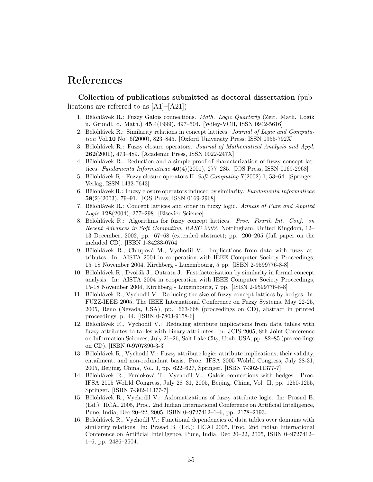## References

Collection of publications submitted as doctoral dissertation (publications are referred to as [A1]–[A21])

- 1. Bělohlávek R.: Fuzzy Galois connections. Math. Logic Quarterly (Zeit. Math. Logik u. Grundl. d. Math.) 45,4(1999), 497–504. [Wiley-VCH, ISSN 0942-5616]
- 2. Bělohlávek R.: Similarity relations in concept lattices. Journal of Logic and Computation Vol.10 No. 6(2000), 823–845. [Oxford University Press, ISSN 0955-792X]
- 3. Bělohlávek R.: Fuzzy closure operators. Journal of Mathematical Analysis and Appl. 262(2001), 473–489. [Academic Press, ISSN 0022-247X]
- 4. Bělohlávek R.: Reduction and a simple proof of characterization of fuzzy concept lattices. Fundamenta Informaticae  $46(4)(2001)$ , 277–285. [IOS Press, ISSN 0169-2968]
- 5. Bělohlávek R.: Fuzzy closure operators II. Soft Computing  $7(2002)$  1, 53–64. [Springer-Verlag, ISSN 1432-7643]
- 6. Bělohlávek R.: Fuzzy closure operators induced by similarity. Fundamenta Informaticae 58(2)(2003), 79–91. [IOS Press, ISSN 0169-2968]
- 7. Bělohlávek R.: Concept lattices and order in fuzzy logic. Annals of Pure and Applied Logic 128(2004), 277–298. [Elsevier Science]
- 8. Bělohlávek R.: Algorithms for fuzzy concept lattices. Proc. Fourth Int. Conf. on Recent Advances in Soft Computing, RASC 2002. Nottingham, United Kingdom, 12– 13 December, 2002, pp. 67–68 (extended abstract); pp. 200–205 (full paper on the included CD). [ISBN 1-84233-0764]
- 9. Bělohlávek R., Chlupová M., Vychodil V.: Implications from data with fuzzy attributes. In: AISTA 2004 in cooperation with IEEE Computer Society Proceedings, 15–18 November 2004, Kirchberg - Luxembourg, 5 pp. [ISBN 2-9599776-8-8]
- 10. Bělohlávek R., Dvořák J., Outrata J.: Fast factorization by similarity in formal concept analysis. In: AISTA 2004 in cooperation with IEEE Computer Society Proceedings, 15-18 November 2004, Kirchberg - Luxembourg, 7 pp. [ISBN 2-9599776-8-8]
- 11. Bělohlávek R., Vychodil V.: Reducing the size of fuzzy concept lattices by hedges. In: FUZZ-IEEE 2005, The IEEE International Conference on Fuzzy Systems, May 22-25, 2005, Reno (Nevada, USA), pp. 663-668 (proceedings on CD), abstract in printed proceedings, p. 44. [ISBN 0-7803-9158-6]
- 12. Bělohlávek R., Vychodil V.: Reducing attribute implications from data tables with fuzzy attributes to tables with binary attributes. In: JCIS 2005, 8th Joint Conference on Information Sciences, July 21–26, Salt Lake City, Utah, USA, pp. 82–85 (proceedings on CD). [ISBN 0-9707890-3-3]
- 13. Bělohlávek R., Vychodil V.: Fuzzy attribute logic: attribute implications, their validity, entailment, and non-redundant basis. Proc. IFSA 2005 Wolrld Congress, July 28-31, 2005, Beijing, China, Vol. I, pp. 622–627, Springer. [ISBN 7-302-11377-7]
- 14. Bělohlávek R., Funioková T., Vychodil V.: Galois connections with hedges. Proc. IFSA 2005 Wolrld Congress, July 28–31, 2005, Beijing, China, Vol. II, pp. 1250-1255, Springer. [ISBN 7-302-11377-7]
- 15. Bělohlávek R., Vychodil V.: Axiomatizations of fuzzy attribute logic. In: Prasad B. (Ed.): IICAI 2005, Proc. 2nd Indian International Conference on Artificial Intelligence, Pune, India, Dec 20–22, 2005, ISBN 0–9727412–1–6, pp. 2178–2193.
- 16. Bělohlávek R., Vychodil V.: Functional dependencies of data tables over domains with similarity relations. In: Prasad B. (Ed.): IICAI 2005, Proc. 2nd Indian International Conference on Artificial Intelligence, Pune, India, Dec 20–22, 2005, ISBN 0–9727412– 1–6, pp. 2486–2504.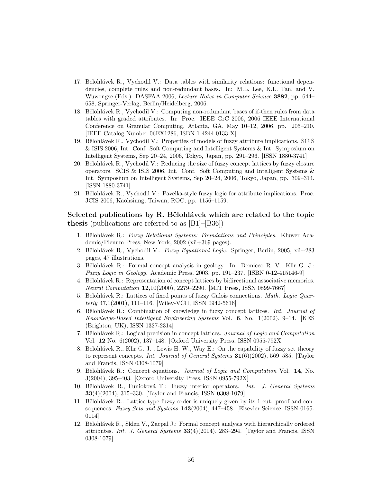- 17. Bělohlávek R., Vychodil V.: Data tables with similarity relations: functional dependencies, complete rules and non-redundant bases. In: M.L. Lee, K.L. Tan, and V. Wuwongse (Eds.): DASFAA 2006, Lecture Notes in Computer Science 3882, pp. 644– 658, Springer-Verlag, Berlin/Heidelberg, 2006.
- 18. Bělohlávek R., Vychodil V.: Computing non-redundant bases of if-then rules from data tables with graded attributes. In: Proc. IEEE GrC 2006, 2006 IEEE International Conference on Granular Computing, Atlanta, GA, May 10–12, 2006, pp. 205–210. [IEEE Catalog Number 06EX1286, ISBN 1-4244-0133-X]
- 19. Bělohlávek R., Vychodil V.: Properties of models of fuzzy attribute implications. SCIS & ISIS 2006, Int. Conf. Soft Computing and Intelligent Systems & Int. Symposium on Intelligent Systems, Sep 20–24, 2006, Tokyo, Japan, pp. 291–296. [ISSN 1880-3741]
- 20. Bělohlávek R., Vychodil V.: Reducing the size of fuzzy concept lattices by fuzzy closure operators. SCIS & ISIS 2006, Int. Conf. Soft Computing and Intelligent Systems & Int. Symposium on Intelligent Systems, Sep 20–24, 2006, Tokyo, Japan, pp. 309–314. [ISSN 1880-3741]
- 21. Bělohlávek R., Vychodil V.: Pavelka-style fuzzy logic for attribute implications. Proc. JCIS 2006, Kaohsiung, Taiwan, ROC, pp. 1156–1159.

#### Selected publications by R. Bělohlávek which are related to the topic thesis (publications are referred to as [B1]–[B36])

- 1. Bělohlávek R.: Fuzzy Relational Systems: Foundations and Principles. Kluwer Academic/Plenum Press, New York, 2002 (xii+369 pages).
- 2. Bělohlávek R., Vychodil V.: Fuzzy Equational Logic. Springer, Berlin, 2005, xii+283 pages, 47 illustrations.
- 3. Bělohlávek R.: Formal concept analysis in geology. In: Demicco R. V., Klir G. J.: Fuzzy Logic in Geology. Academic Press, 2003, pp. 191–237. [ISBN 0-12-415146-9]
- 4. Bělohlávek R.: Representation of concept lattices by bidirectional associative memories. Neural Computation 12,10(2000), 2279–2290. [MIT Press, ISSN 0899-7667]
- 5. Bělohlávek R.: Lattices of fixed points of fuzzy Galois connections. Math. Logic Quarterly 47,1(2001), 111–116. [Wiley-VCH, ISSN 0942-5616]
- 6. Bělohlávek R.: Combination of knowledge in fuzzy concept lattices. Int. Journal of Knowledge-Based Intelligent Engineering Systems Vol. 6, No. 1(2002), 9–14. [KES (Brighton, UK), ISSN 1327-2314]
- 7. Bělohlávek R.: Logical precision in concept lattices. Journal of Logic and Computation Vol. 12 No. 6(2002), 137–148. [Oxford University Press, ISSN 0955-792X]
- 8. Bělohlávek R., Klir G. J., Lewis H. W., Way E.: On the capability of fuzzy set theory to represent concepts. Int. Journal of General Systems  $31(6)(2002)$ , 569–585. [Taylor and Francis, ISSN 0308-1079]
- 9. Bělohlávek R.: Concept equations. Journal of Logic and Computation Vol. 14, No. 3(2004), 395–403. [Oxford University Press, ISSN 0955-792X]
- 10. Bělohlávek R., Funioková T.: Fuzzy interior operators. Int. J. General Systems 33(4)(2004), 315–330. [Taylor and Francis, ISSN 0308-1079]
- 11. Bělohlávek R.: Lattice-type fuzzy order is uniquely given by its 1-cut: proof and consequences. Fuzzy Sets and Systems 143(2004), 447-458. [Elsevier Science, ISSN 0165-0114]
- 12. Bělohlávek R., Sklen V., Zacpal J.: Formal concept analysis with hierarchically ordered attributes. Int. J. General Systems 33(4)(2004), 283–294. [Taylor and Francis, ISSN 0308-1079]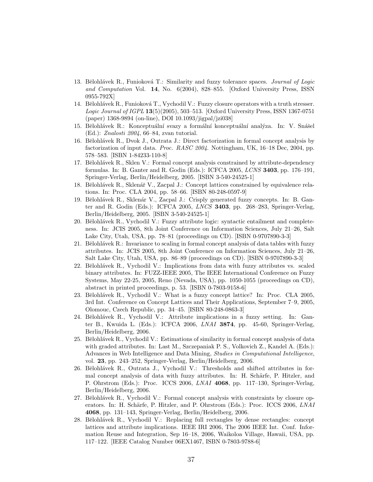- 13. Bělohlávek R., Funioková T.: Similarity and fuzzy tolerance spaces. Journal of Logic and Computation Vol. 14, No. 6(2004), 828–855. [Oxford University Press, ISSN 0955-792X]
- 14. Bělohlávek R., Funioková T., Vychodil V.: Fuzzy closure operators with a truth stresser. Logic Journal of IGPL 13(5)(2005), 503–513. [Oxford University Press, ISSN 1367-0751 (paper) 1368-9894 (on-line), DOI 10.1093/jigpal/jzi038]
- 15. Bělohlávek R.: Konceptuální svazy a formální konceptuální analýza. In: V. Snášel (Ed.): Znalosti 2004, 66–84, zvan tutorial.
- 16. Bělohlávek R., Dvok J., Outrata J.: Direct factorization in formal concept analysis by factorization of input data. *Proc. RASC 2004*. Nottingham, UK, 16–18 Dec, 2004, pp. 578–583. [ISBN 1-84233-110-8]
- 17. Bělohlávek R., Sklen V.: Formal concept analysis constrained by attribute-dependency formulas. In: B. Ganter and R. Godin (Eds.): ICFCA 2005,  $LCNS$  3403, pp. 176–191, Springer-Verlag, Berlin/Heidelberg, 2005. [ISBN 3-540-24525-1]
- 18. Bělohlávek R., Sklenář V., Zacpal J.: Concept lattices constrained by equivalence relations. In: Proc. CLA 2004, pp. 58–66. [ISBN 80-248-0597-9]
- 19. Bělohlávek R., Sklenár V., Zacpal J.: Crisply generated fuzzy concepts. In: B. Ganter and R. Godin (Eds.): ICFCA 2005,  $LNCS$  3403, pp. 268–283, Springer-Verlag, Berlin/Heidelberg, 2005. [ISBN 3-540-24525-1]
- 20. Bělohlávek R., Vychodil V.: Fuzzy attribute logic: syntactic entailment and completeness. In: JCIS 2005, 8th Joint Conference on Information Sciences, July 21–26, Salt Lake City, Utah, USA, pp. 78–81 (proceedings on CD). [ISBN 0-9707890-3-3]
- 21. Bělohlávek R.: Invariance to scaling in formal concept analysis of data tables with fuzzy attributes. In: JCIS 2005, 8th Joint Conference on Information Sciences, July 21–26, Salt Lake City, Utah, USA, pp. 86–89 (proceedings on CD). [ISBN 0-9707890-3-3]
- 22. Bělohlávek R., Vychodil V.: Implications from data with fuzzy attributes vs. scaled binary attributes. In: FUZZ-IEEE 2005, The IEEE International Conference on Fuzzy Systems, May 22-25, 2005, Reno (Nevada, USA), pp. 1050-1055 (proceedings on CD), abstract in printed proceedings, p. 53. [ISBN 0-7803-9158-6]
- 23. Bělohlávek R., Vychodil V.: What is a fuzzy concept lattice? In: Proc. CLA 2005, 3rd Int. Conference on Concept Lattices and Their Applications, September 7–9, 2005, Olomouc, Czech Republic, pp. 34–45. [ISBN 80-248-0863-3]
- 24. Bělohlávek R., Vychodil V.: Attribute implications in a fuzzy setting. In: Ganter B., Kwuida L. (Eds.): ICFCA 2006, LNAI 3874, pp. 45-60, Springer-Verlag, Berlin/Heidelberg, 2006.
- 25. Bělohlávek R., Vychodil V.: Estimations of similarity in formal concept analysis of data with graded attributes. In: Last M., Szczepaniak P. S., Volkovich Z., Kandel A. (Eds.): Advances in Web Intelligence and Data Mining, Studies in Computational Intelligence, vol. 23, pp. 243–252, Springer-Verlag, Berlin/Heidelberg, 2006.
- 26. Bělohlávek R., Outrata J., Vychodil V.: Thresholds and shifted attributes in formal concept analysis of data with fuzzy attributes. In: H. Schärfe, P. Hitzler, and P. Ohrstrom (Eds.): Proc. ICCS 2006, LNAI 4068, pp. 117–130, Springer-Verlag, Berlin/Heidelberg, 2006.
- 27. Bělohlávek R., Vychodil V.: Formal concept analysis with constraints by closure operators. In: H. Schärfe, P. Hitzler, and P. Ohrstrom (Eds.): Proc. ICCS 2006, LNAI 4068, pp. 131–143, Springer-Verlag, Berlin/Heidelberg, 2006.
- 28. Bělohlávek R., Vychodil V.: Replacing full rectangles by dense rectangles: concept lattices and attribute implications. IEEE IRI 2006, The 2006 IEEE Int. Conf. Information Reuse and Integration, Sep 16–18, 2006, Waikoloa Village, Hawaii, USA, pp. 117–122. [IEEE Catalog Number 06EX1467, ISBN 0-7803-9788-6]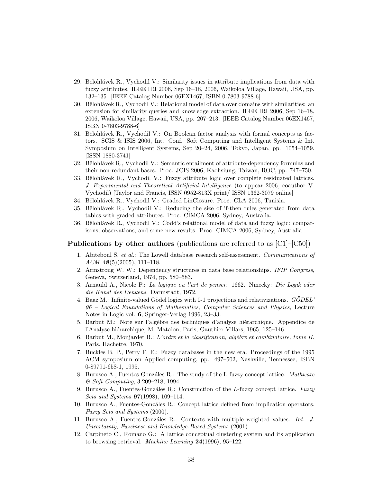- 29. Bělohlávek R., Vychodil V.: Similarity issues in attribute implications from data with fuzzy attributes. IEEE IRI 2006, Sep 16–18, 2006, Waikoloa Village, Hawaii, USA, pp. 132–135. [IEEE Catalog Number 06EX1467, ISBN 0-7803-9788-6]
- 30. Bělohlávek R., Vychodil V.: Relational model of data over domains with similarities: an extension for similarity queries and knowledge extraction. IEEE IRI 2006, Sep 16–18, 2006, Waikoloa Village, Hawaii, USA, pp. 207–213. [IEEE Catalog Number 06EX1467, ISBN 0-7803-9788-6]
- 31. Bělohlávek R., Vychodil V.: On Boolean factor analysis with formal concepts as factors. SCIS & ISIS 2006, Int. Conf. Soft Computing and Intelligent Systems & Int. Symposium on Intelligent Systems, Sep 20–24, 2006, Tokyo, Japan, pp. 1054–1059. [ISSN 1880-3741]
- 32. Bělohlávek R., Vychodil V.: Semantic entailment of attribute-dependency formulas and their non-redundant bases. Proc. JCIS 2006, Kaohsiung, Taiwan, ROC, pp. 747–750.
- 33. Bělohlávek R., Vychodil V.: Fuzzy attribute logic over complete residuated lattices. J. Experimental and Theoretical Artificial Intelligence (to appear 2006, coauthor V. Vychodil) [Taylor and Francis, ISSN 0952-813X print/ ISSN 1362-3079 online]
- 34. Bělohlávek R., Vychodil V.: Graded LinClosure. Proc. CLA 2006, Tunisia.
- 35. Bělohlávek R., Vychodil V.: Reducing the size of if-then rules generated from data tables with graded attributes. Proc. CIMCA 2006, Sydney, Australia.
- 36. Bělohlávek R., Vychodil V.: Codd's relational model of data and fuzzy logic: comparisons, observations, and some new results. Proc. CIMCA 2006, Sydney, Australia.

#### **Publications by other authors** (publications are referred to as  $\vert$ C1 $\vert$ – $\vert$ C50 $\vert$ )

- 1. Abiteboul S. et al.: The Lowell database research self-assessment. Communications of  $ACM$  48(5)(2005), 111–118.
- 2. Armstrong W. W.: Dependency structures in data base relationships. IFIP Congress, Geneva, Switzerland, 1974, pp. 580–583.
- 3. Arnauld A., Nicole P.: La logique ou l'art de penser. 1662. Nmecky: Die Logik oder die Kunst des Denkens. Darmstadt, 1972.
- 4. Baaz M.: Infinite-valued Gödel logics with 0-1 projections and relativizations.  $G\ddot{O}DEL'$ 96 – Logical Foundations of Mathematics, Computer Sciences and Physics, Lecture Notes in Logic vol. 6, Springer-Verlag 1996, 23–33.
- 5. Barbut M.: Note sur l'algèbre des techniques d'analyse hiérarchique. Appendice de l'Analyse hiérarchique, M. Matalon, Paris, Gauthier-Villars, 1965, 125–146.
- 6. Barbut M., Monjardet B.: L'ordre et la classification, algèbre et combinatoire, tome II. Paris, Hachette, 1970.
- 7. Buckles B. P., Petry F. E.: Fuzzy databases in the new era. Proceedings of the 1995 ACM symposium on Applied computing, pp. 497–502, Nashville, Tennessee, ISBN 0-89791-658-1, 1995.
- 8. Burusco A., Fuentes-Gonzáles R.: The study of the L-fuzzy concept lattice. Mathware & Soft Computing, 3:209–218, 1994.
- 9. Burusco A., Fuentes-Gonzáles R.: Construction of the L-fuzzy concept lattice. Fuzzy *Sets and Systems*  $97(1998)$ ,  $109-114$ .
- 10. Burusco A., Fuentes-Gonzáles R.: Concept lattice defined from implication operators. Fuzzy Sets and Systems (2000).
- 11. Burusco A., Fuentes-Gonzáles R.: Contexts with multiple weighted values. Int. J. Uncertainty, Fuzziness and Knowledge-Based Systems (2001).
- 12. Carpineto C., Romano G.: A lattice conceptual clustering system and its application to browsing retrieval. Machine Learning  $24(1996)$ , 95-122.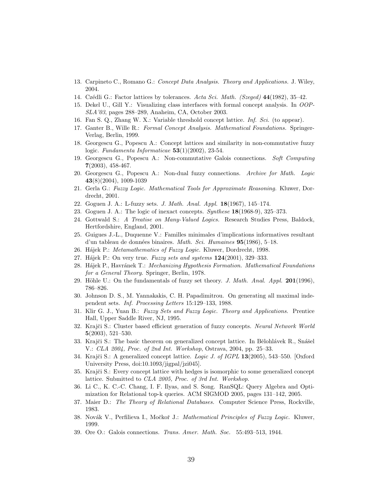- 13. Carpineto C., Romano G.: Concept Data Analysis. Theory and Applications. J. Wiley, 2004.
- 14. Czédli G.: Factor lattices by tolerances. Acta Sci. Math. (Szeged) 44(1982), 35–42.
- 15. Dekel U., Gill Y.: Visualizing class interfaces with formal concept analysis. In OOP-SLA'03, pages 288–289, Anaheim, CA, October 2003.
- 16. Fan S. Q., Zhang W. X.: Variable threshold concept lattice. Inf. Sci. (to appear).
- 17. Ganter B., Wille R.: Formal Concept Analysis. Mathematical Foundations. Springer-Verlag, Berlin, 1999.
- 18. Georgescu G., Popescu A.: Concept lattices and similarity in non-commutative fuzzy logic. Fundamenta Informaticae  $53(1)(2002)$ , 23-54.
- 19. Georgescu G., Popescu A.: Non-commutative Galois connections. Soft Computing  $7(2003), 458-467.$
- 20. Georgescu G., Popescu A.: Non-dual fuzzy connections. Archive for Math. Logic 43(8)(2004), 1009-1039
- 21. Gerla G.: Fuzzy Logic. Mathematical Tools for Approximate Reasoning. Kluwer, Dordrecht, 2001.
- 22. Goguen J. A.: L-fuzzy sets. J. Math. Anal. Appl. 18(1967), 145–174.
- 23. Goguen J. A.: The logic of inexact concepts. Synthese 18(1968-9), 325–373.
- 24. Gottwald S.: A Treatise on Many-Valued Logics. Research Studies Press, Baldock, Hertfordshire, England, 2001.
- 25. Guigues J.-L., Duquenne V.: Familles minimales d'implications informatives resultant d'un tableau de données binaires. *Math. Sci. Humaines*  $95(1986)$ , 5–18.
- 26. Hájek P.: Metamathematics of Fuzzy Logic. Kluwer, Dordrecht, 1998.
- 27. Hájek P.: On very true. Fuzzy sets and systems  $124(2001)$ , 329–333.
- 28. Hájek P., Havránek T.: Mechanizing Hypothesis Formation. Mathematical Foundations for a General Theory. Springer, Berlin, 1978.
- 29. Höhle U.: On the fundamentals of fuzzy set theory. J. Math. Anal. Appl.  $201(1996)$ , 786–826.
- 30. Johnson D. S., M. Yannakakis, C. H. Papadimitrou. On generating all maximal independent sets. Inf. Processing Letters 15:129–133, 1988.
- 31. Klir G. J., Yuan B.: Fuzzy Sets and Fuzzy Logic. Theory and Applications. Prentice Hall, Upper Saddle River, NJ, 1995.
- 32. Krajči S.: Cluster based efficient generation of fuzzy concepts. Neural Network World 5(2003), 521–530.
- 33. Krajči S.: The basic theorem on generalized concept lattice. In Bělohlávek R., Snášel V.: CLA 2004, Proc. of 2nd Int. Workshop, Ostrava, 2004, pp. 25–33.
- 34. Krajči S.: A generalized concept lattice. Logic J. of IGPL 13(2005), 543–550. [Oxford University Press, doi:10.1093/jigpal/jzi045].
- 35. Krajči S.: Every concept lattice with hedges is isomorphic to some generalized concept lattice. Submitted to CLA 2005, Proc. of 3rd Int. Workshop.
- 36. Li C., K. C.-C. Chang, I. F. Ilyas, and S. Song. RanSQL: Query Algebra and Optimization for Relational top-k queries. ACM SIGMOD 2005, pages 131–142, 2005.
- 37. Maier D.: The Theory of Relational Databases. Computer Science Press, Rockville, 1983.
- 38. Novák V., Perfilieva I., Močkoř J.: *Mathematical Principles of Fuzzy Logic.* Kluwer, 1999.
- 39. Ore O.: Galois connections. Trans. Amer. Math. Soc. 55:493–513, 1944.